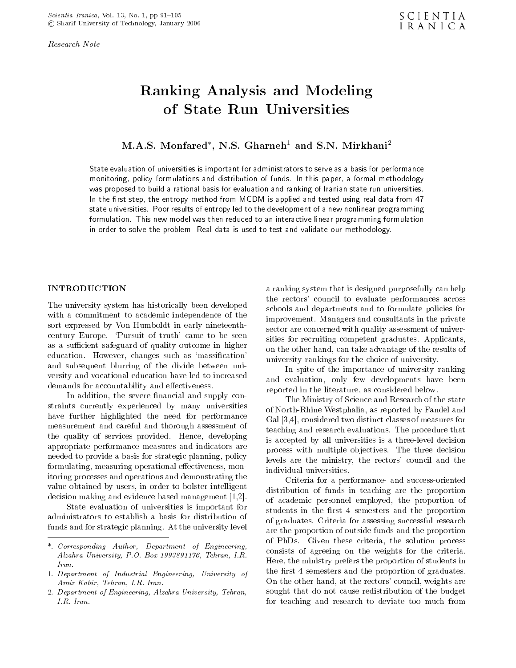Research Note

# Ranking Analysis and Modeling of State Run Universities

M.A.S. Monfared , N.S. Gharneh1 and S.N. Mirkhani2

State evaluation of universities is important for administrators to serve as a basis for performance monitoring, policy formulations and distribution of funds. In this paper, a formal methodology was proposed to build a rational basis for evaluation and ranking of Iranian state run universities.In the mist step, the entropy method from MCDM is applied and tested using real data from 47  $\,$ state universities. Poor results of entropy led to the development of a new nonlinear programming formulation. This new model was then reduced to an interactive linear programming formulation in order to solve the problem. Real data is used to test and validate our methodology.

## INTRODUCTION

The university system has historically been developed with <sup>a</sup> commitment to academic independence of the sort expressed by Von Humboldt in early nineteenthcentury Europe. `Pursuit of truth' came to be seen as a sufficient safeguard of quality outcome in higher education. However, changes such as 'massification' and subsequent blurring of the divide between university and vocational education have led to increased demands for accountability and effectiveness.

In addition, the severe financial and supply constraints currently experienced by many universities have further highlighted the need for performance measurement and careful and thorough assessment of the quality of services provided. Hence, developing appropriate performance measures and indicators are needed to provide a basis for strategic planning, policy formulating, measuring operational effectiveness, monitoring processes and operations and demonstrating the value obtained by users, in order to bolster intelligent decision making and evidence based management [1,2].

State evaluation of universities is important for administrators to establish <sup>a</sup> basis for distribution of funds and for strategic planning. At the university level <sup>a</sup> ranking system that is designed purposefully can help the rectors' council to evaluate performances across schools and departments and to formulate policies for improvement. Managers and consultants in the private sector are concerned with quality assessment of universities for recruiting competent graduates. Applicants, on the other hand, can take advantage of the results of university rankings for the choice of university.

In spite of the importance of university ranking and evaluation, only few developments have been reported in the literature, as considered below.

The Ministry of Science and Research of the state of North-Rhine Westphalia, as reported by Fandel and Gal [3,4], considered two distinct classes of measures for teaching and research evaluations. The procedure that is accepted by all universities is a three-level decision process with multiple objectives. The three decision levels are the ministry, the rectors' council and the individual universities.

Criteria for <sup>a</sup> performance- and success-oriented distribution of funds in teaching are the proportion of academic personnel employed, the proportion of students in the first 4 semesters and the proportion of graduates. Criteria for assessing successful research are the proportion of outside funds and the proportion of PhDs. Given these criteria, the solution process consists of agreeing on the weights for the criteria. Here, the ministry prefers the proportion of students in the first 4 semesters and the proportion of graduates. On the other hand, at the rectors' council, weights are sought that do not cause redistribution of the budget for teaching and research to deviate too much from

<sup>\*.</sup> Corresponding Author, Department of Engineering, Alzahra University, P.O. Box 1993891176, Tehran, I.R. Iran.

<sup>1.</sup> Department of Industrial Engineering, University of Amir Kabir, Tehran, I.R. Iran.

<sup>2.</sup> Department of Engineering, Alzahra University, Tehran,  $I.R.$  Iran.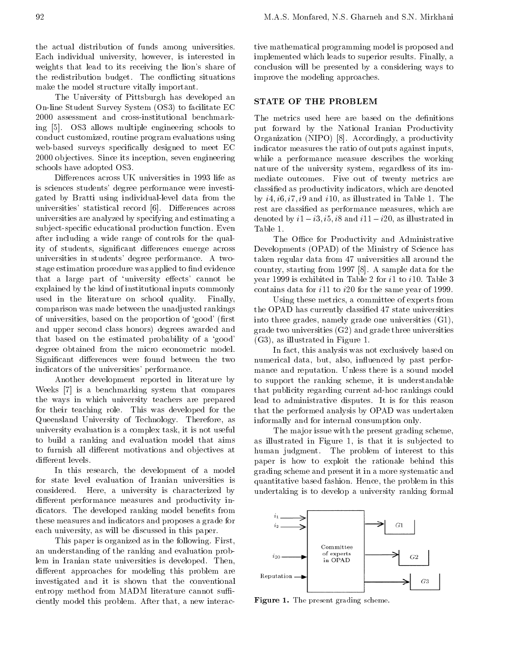the actual distribution of funds among universities. Each individual university, however, is interested in weights that lead to its receiving the lion's share of the redistribution budget. The con
icting situations make the model structure vitally important.

The University of Pittsburgh has developed an On-line Student Survey System (OS3) to facilitate EC <sup>2000</sup> assessment and cross-institutional benchmarking [5]. OS3 allows multiple engineering schools to conduct customized, routine program evaluations using web-based surveys specically designed to meet EC <sup>2000</sup> ob jectives. Since its inception, seven engineering schools have adopted OS3.

Differences across UK universities in 1993 life as is sciences students' degree performance were investigated by Bratti using individual-level data from the universities' statistical record [6]. Differences across universities are analyzed by specifying and estimating a subject-specic educational production function. Even after including <sup>a</sup> wide range of controls for the quality of students, significant differences emerge across universities in students' degree performance. <sup>A</sup> twostage estimation procedure was applied to find evidence that a large part of 'university effects' cannot be explained by the kind of institutional inputs commonly used in the literature on school quality. Finally, comparison was made between the unadjusted rankings of universities, based on the proportion of 'good' (first and upper second class honors) degrees awarded and that based on the estimated probability of <sup>a</sup> `good' degree obtained from the micro econometric model. Significant differences were found between the two indicators of the universities' performance.

Another development reported in literature by Weeks [7] is <sup>a</sup> benchmarking system that compares the ways in which university teachers are prepared for their teaching role. This was developed for the Queensland University of Technology. Therefore, as university evaluation is a complex task, it is not useful to build <sup>a</sup> ranking and evaluation model that aims to furnish all different motivations and objectives at different levels.

In this research, the development of <sup>a</sup> model for state level evaluation of Iranian universities is considered. Here, <sup>a</sup> university is characterized by different performance measures and productivity indicators. The developed ranking model benefits from these measures and indicators and proposes a grade for each university, as will be discussed in this paper.

This paper is organized as in the following. First, an understanding of the ranking and evaluation problem in Iranian state universities is developed. Then, different approaches for modeling this problem are  $R_{\text{eputation}}$ . investigated and it is shown that the conventional entropy method from MADM literature cannot sufficiently model this problem. After that, a new interac-

tive mathematical programming model is proposed and implemented which leads to superior results. Finally, a conclusion will be presented by a considering ways to improve the modeling approaches.

# STATE OF THE PROBLEM

The metrics used here are based on the definitions put forward by the National Iranian Productivity Organization (NIPO) [8]. Accordingly, a productivity indicator measures the ratio of outputs against inputs, while <sup>a</sup> performance measure describes the working nature of the university system, regardless of its immediate outcomes. Five out of twenty metrics are classied as productivity indicators, which are denoted by  $i4$ ,  $i6$ ,  $i7$ ,  $i9$  and  $i10$ , as illustrated in Table 1. The rest are classied as performance measures, which are denoted by  $i1$  i3,  $i5$ ,  $i8$  and  $i11$  i20, as illustrated in Table 1.

The Office for Productivity and Administrative Developments (OPAD) of the Ministry of Science has taken regular data from 47 universities all around the country, starting from 1997 [8]. A sample data for the year 1999 is exhibited in Table 2 for i1 to i10. Table 3 contains data for i11 to i20 for the same year of 1999.

Using these metrics, a committee of experts from the OPAD has currently classied 47 state universities into three grades, namely grade one universities (G1), grade two universities (G2) and grade three universities (G3), as illustrated in Figure 1.

In fact, this analysis was not exclusively based on numerical data, but, also, influenced by past performance and reputation. Unless there is a sound model to support the ranking scheme, it is understandable that publicity regarding current ad-hoc rankings could lead to administrative disputes. It is for this reason that the performed analysis by OPAD was undertaken informally and for internal consumption only.

The major issue with the present grading scheme, as illustrated in Figure 1, is that it is sub jected to human judgment. The problem of interest to this paper is how to exploit the rationale behind this grading scheme and present it in a more systematic and quantitative based fashion. Hence, the problem in this undertaking is to develop a university ranking formal



Figure 1. The present grading scheme.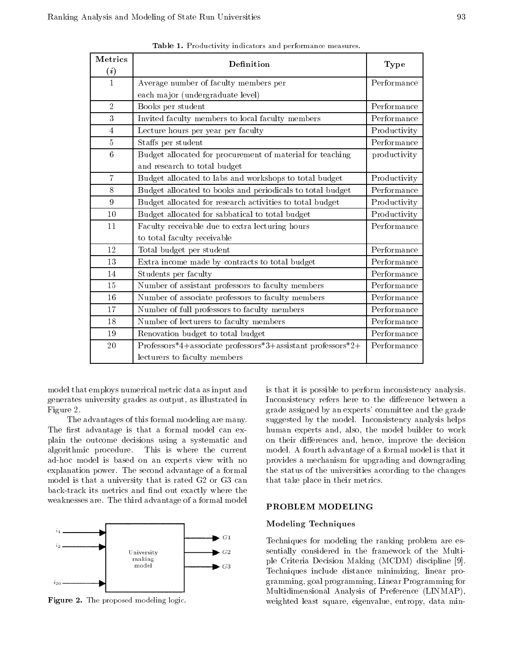| Metrics           | Definition                                                  | Type                                                |
|-------------------|-------------------------------------------------------------|-----------------------------------------------------|
| $\left( i\right)$ |                                                             |                                                     |
| $\mathbf{1}$      | Average number of faculty members per                       | Performance                                         |
|                   | each major (undergraduate level)                            |                                                     |
| $\sqrt{2}$        | Books per student                                           | Performance                                         |
| 3                 | Invited faculty members to local faculty members            | Performance                                         |
| $\overline{4}$    | Lecture hours per year per faculty                          | Productivity                                        |
| 5                 | Staffs per student                                          | Performance                                         |
| $\boldsymbol{6}$  | Budget allocated for procurement of material for teaching   | productivity                                        |
|                   | and research to total budget                                |                                                     |
| $\overline{7}$    | Budget allocated to labs and workshops to total budget      | Productivity                                        |
| 8                 | Budget allocated to books and periodicals to total budget   | Performance                                         |
| 9                 | Budget allocated for research activities to total budget    | Productivity                                        |
| 10                | Budget allocated for sabbatical to total budget             | Productivity                                        |
| 11                | Faculty receivable due to extra lecturing hours             | Performance                                         |
|                   | to total faculty receivable                                 |                                                     |
| 12                | Total budget per student                                    | Performance                                         |
| 13                | Extra income made by contracts to total budget              | Performance                                         |
| 14                | Students per faculty                                        | Performance                                         |
| 15                | Number of assistant professors to faculty members           | Performance                                         |
| 16                | Number of associate professors to faculty members           | Performance                                         |
| 17                | Number of full professors to faculty members                | $\label{eq:Performance} \operatorname{Performance}$ |
| 18                | Number of lecturers to faculty members                      | Performance                                         |
| 19                | Renovation budget to total budget                           | Performance                                         |
| 20                | Professors*4+associate professors*3+assistant professors*2+ | Performance                                         |
|                   | lecturers to faculty members                                |                                                     |

Table 1. Productivity indicators and performance measures.

model that employs numerical metric data as input and generates university grades as output, as illustrated in Figure 2.

The advantages of this formal modeling are many. The first advantage is that a formal model can explain the outcome decisions using <sup>a</sup> systematic and algorithmic procedure. This is where the current ad-hoc model is based on an experts view with no explanation power. The second advantage of a formal model is that a university that is rated G2 or G3 can back-track its metrics and find out exactly where the weaknesses are. The third advantage of a formal model



Figure 2. The proposed modeling logic.

is that it is possible to perform inconsistency analysis. Inconsistency refers here to the difference between a grade assigned by an experts' committee and the grade suggested by the model. Inconsistency analysis helps human experts and, also, the model builder to work on their differences and, hence, improve the decision model. A fourth advantage of a formal model is that it provides a mechanism for upgrading and downgrading the status of the universities according to the changes that take place in their metrics.

## PROBLEM MODELING

## Modeling Techniques

Techniques for modeling the ranking problem are essentially considered in the framework of the Multiple Criteria Decision Making (MCDM) discipline [9]. Techniques include distance minimizing, linear programming, goal programming, Linear Programming for Multidimensional Analysis of Preference (LINMAP), weighted least square, eigenvalue, entropy, data min-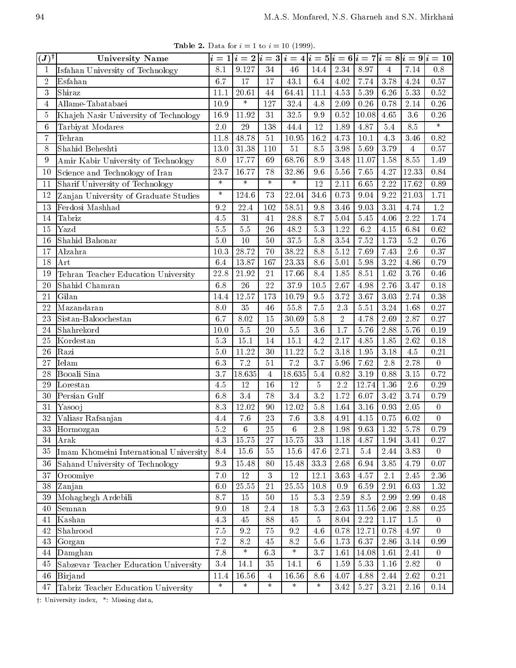**Table 2.** Data for  $i = 1$  to  $i = 10$  (1999).

| $(\bm{J})^{\dagger}$ | <b>University Name</b>                 |         |                  |                 |                   |                  |                   |                      |                  |                    | $i=1 i=2 i=3 i=4 i=5 i=6 i=7 i=8 i=9 i=10 $ |
|----------------------|----------------------------------------|---------|------------------|-----------------|-------------------|------------------|-------------------|----------------------|------------------|--------------------|---------------------------------------------|
| $\mathbf{1}$         | Isfahan University of Technology       | 8.1     | 9.127            | 34              | 46                | 14.4             | $2.34\,$          | 8.97                 | $\overline{4}$   | 7.14               | 0.8                                         |
| $\sqrt{2}$           | Esfahan                                | 6.7     | 17               | 17              | 43.1              | 6.4              | 4.02              | 7.74                 | 3.78             | 4.24               | 0.57                                        |
| 3                    | Shiraz                                 | 11.1    | 20.61            | 44              | 64.41             | $11.1\,$         | 4.53              | 5.39                 | 6.26             | $5.\overline{33}$  | 0.52                                        |
| $\overline{4}$       | Allame-Tabatabaei                      | 10.9    | $\ast$           | 127             | 32.4              | 4.8              | 2.09              | 0.26                 | 0.78             | 2.14               | 0.26                                        |
| $\overline{5}$       | Khajeh Nasir University of Technology  | 16.9    | 11.92            | 31              | 32.5              | $\,9.9$          | 0.52              | 10.08                | 4.65             | 3.6                | 0.26                                        |
| 6                    | Tarbiyat Modares                       | 2.0     | 29               | 138             | 44.4              | 12               | 1.89              | 4.87                 | 5.4              | 8.5                | $\ast$                                      |
| 7                    | Tehran                                 | 11.8    | 48.78            | 51              | 10.95             | 16.2             | 4.73              | 10.1                 | 4.3              | 3.46               | 0.82                                        |
| 8                    | Shahid Beheshti                        | 13.0    | 31.38            | 110             | 51                | 8.5              | 3.98              | 5.69                 | 3.79             | $\overline{4}$     | 0.57                                        |
| 9                    | Amir Kabir University of Technology    | 8.0     | 17.77            | 69              | 68.76             | $8.9\,$          | 3.48              | 11.07                | 1.58             | 8.55               | 1.49                                        |
| 10                   | Science and Technology of Iran         | 23.7    | 16.77            | 78              | 32.86             | 9.6              | 5.56              | 7.65                 | 4.27             | 12.33              | 0.84                                        |
| 11                   | Sharif University of Technology        | $\ast$  | $\ast$           | $\ast$          | $\ast$            | 12               | 2.11              | 6.65                 | 2.22             | 17.62              | 0.89                                        |
| $12\,$               | Zanjan University of Graduate Studies  | $\ast$  | 124.6            | 73              | 22.04             | 34.6             | 0.73              | 9.04                 | 9.22             | $\overline{21.03}$ | 1.71                                        |
| 13                   | Ferdosi Mashhad                        | 9.2     | 22.4             | 102             | 58.51             | 9.8              | 3.46              | 9.03                 | 3.31             | 4.74               | $1.2\,$                                     |
| 14                   | Tabriz                                 | 4.5     | 31               | 41              | 28.8              | 8.7              | 5.04              | 5.45                 | 4.06             | 2.22               | 1.74                                        |
| 15                   | Yazd                                   | 5.5     | 5.5              | 26              | 48.2              | 5.3              | 1.22              | 6.2                  | 4.15             | 6.84               | 0.62                                        |
| 16                   | Shahid Bahonar                         | 5.0     | 10               | 50              | 37.5              | 5.8              | 3.54              | 7.52                 | 1.73             | $5.2\,$            | 0.76                                        |
| 17                   | Alzahra                                | 10.3    | 28.72            | 70              | 38.22             | 8.8              | 5.12              | 7.69                 | 7.43             | $2.6\,$            | 0.37                                        |
| 18                   | Art                                    | 6.4     | 13.87            | 167             | 23.33             | 8.6              | 5.01              | 5.98                 | 3.22             | 4.86               | 0.79                                        |
| $19\,$               | Tehran Teacher Education University    | 22.8    | 21.92            | 21              | 17.66             | 8.4              | 1.85              | 8.51                 | 1.62             | 3.76               | 0.46                                        |
| 20                   | Shahid Chamran                         | 6.8     | $\overline{26}$  | $\overline{22}$ | $37.9\,$          | 10.5             | 2.67              | 4.98                 | 2.76             | 3.47               | 0.18                                        |
| 21                   | Gilan                                  | 14.4    | 12.57            | 173             | 10.79             | $9.5\,$          | 3.72              | 3.67                 | 3.03             | 2.74               | 0.38                                        |
| 22                   | Mazandaran                             | 8.0     | 35               | 46              | $55.\overline{8}$ | $\overline{7.5}$ | 2.3               | 5.51                 | 3.24             | 1.68               | 0.27                                        |
| 23                   | Sistan-Baloochestan                    | 6.7     | 8.02             | 15              | 30.69             | $5.8\,$          | $\sqrt{2}$        | 4.78                 | 2.69             | 2.87               | 0.27                                        |
| 24                   | Shahrekord                             | 10.0    | $5.5\,$          | $20\,$          | 5.5               | 3.6              | 1.7               | 5.76                 | 2.88             | 5.76               | 0.19                                        |
| 25                   | Kordestan                              | 5.3     | 15.1             | 14              | 15.1              | 4.2              | 2.17              | 4.85                 | 1.85             | 2.62               | 0.18                                        |
| 26                   | Razi                                   | 5.0     | 11.22            | 30              | 11.22             | $\overline{5.2}$ | 3.18              | 1.95                 | 3.18             | 4.5                | 0.21                                        |
| 27                   | Ielam                                  | 6.3     | $\overline{7.2}$ | 51              | $\overline{7.2}$  | 3.7              | 5.96              | 7.62                 | $\overline{2.8}$ | 2.78               | $\overline{0}$                              |
| 28                   | Booali Sina                            | 3.7     | 18.635           | $\overline{4}$  | 18.635            | 5.4              | 0.82              | $3.19\,$             | 0.88             | 3.15               | 0.72                                        |
| 29                   | Lorestan                               | 4.5     | 12               | 16              | 12                | $\overline{5}$   | $2.2\,$           | 12.74                | 1.36             | $2.6\,$            | 0.29                                        |
| 30                   | Persian Gulf                           | 6.8     | 3.4              | 78              | 3.4               | 3.2              | $1.\overline{72}$ | 6.07                 | 3.42             | 3.74               | 0.79                                        |
| 31                   | Yasooj                                 | 8.3     | 12.02            | 90              | 12.02             | 5.8              | 1.64              | 3.16                 | 0.93             | $2.05\,$           | $\overline{0}$                              |
| $32\,$               | Valiasr Rafsanjan                      | 4.4     | $7.6\,$          | 23              | 7.6               | $3.8\,$          | 4.91              | 4.15                 | 0.75             | $6.02\,$           | $\overline{0}$                              |
| $\overline{33}$      | Hormozgan                              | 5.2     | $6\overline{6}$  | 25              | $\frac{1}{6}$     |                  |                   | $2.8$ 1.98 9.63 1.32 |                  | 5.78               | 0.79                                        |
| 34                   | Arak                                   | 4.3     | 15.75            | 27              | 15.75             | 33               | 1.18              | 4.87                 | 1.94             | 3.41               | 0.27                                        |
| 35                   | Imam Khomeini International University | 8.4     | 15.6             | $55\,$          | 15.6              | 47.6             | 2.71              | $5.4\,$              | 2.44             | 3.83               | $\overline{0}$                              |
| 36                   | Sahand University of Technology        | $9.3\,$ | 15.48            | 80              | 15.48             | $33.3\,$         | $2.68\,$          | 6.94                 | 3.85             | 4.79               | 0.07                                        |
| 37                   | Oroomiye                               | $7.0\,$ | $12\,$           | 3               | 12                | 12.1             | 3.63              | 4.57                 | 2.1              | 2.45               | $2.36\,$                                    |
| 38                   | Zanjan                                 | 6.0     | 25.55            | 21              | 25.55             | 10.8             | 0.9               | 6.59                 | 2.91             | 6.03               | 1.32                                        |
| 39                   | Mohaghegh Ardebili                     | 8.7     | 15               | $50\,$          | 15                | $5.3\,$          | 2.59              | 8.5                  | 2.99             | 2.99               | 0.48                                        |
| 40                   | Semnan                                 | 9.0     | 18               | $2.4\,$         | 18                | $5.3\,$          | $2.63\,$          | 11.56                | $2.06\,$         | 2.88               | $0.25\,$                                    |
| 41                   | Kashan                                 | 4.3     | 45               | 88              | 45                | 5                | 8.04              | 2.22                 | $1.17\,$         | $1.5\,$            | $\boldsymbol{0}$                            |
| 42                   | Shahrood                               | 7.5     | $9.2\,$          | 75              | 9.2               | 4.6              | 0.78              | 12.71                | 0.78             | 4.97               | $\overline{0}$                              |
| 43                   | Gorgan                                 | $7.2\,$ | 8.2              | 45              | 8.2               | $5.6\,$          | 1.73              | 6.37                 | $2.86\,$         | 3.14               | 0.99                                        |
| 44                   |                                        |         | $\ast$           |                 | $\ast$            | 3.7              | 1.61              | 14.08                | 1.61             | 2.41               | $\boldsymbol{0}$                            |
|                      | Damghan                                | 7.8     |                  | 6.3             |                   |                  |                   |                      |                  |                    |                                             |
| 45                   | Sabzevar Teacher Education University  | $3.4\,$ | 14.1             | $35\,$          | 14.1              | $6\phantom{.}$   | $1.59\,$          | $5.33\,$             | $1.16\,$         | $2.82\,$           | $\overline{0}$                              |
| $\sqrt{46}$          | Birjand                                | 11.4    | 16.56            | $\overline{4}$  | 16.56             | 8.6              | 4.07              | 4.88                 | 2.44             | 2.62               | 0.21                                        |

y: University index, \*: Missing data,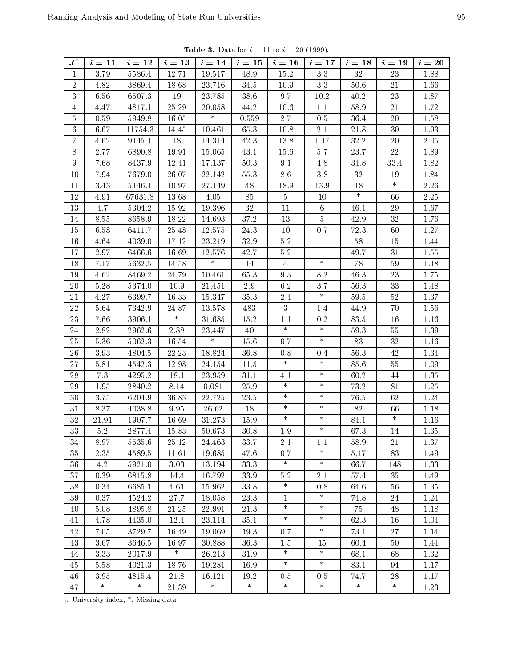| <b>Table 3.</b> Data for $i = 11$ to $i = 20$ (1999). |  |  |  |  |
|-------------------------------------------------------|--|--|--|--|
|-------------------------------------------------------|--|--|--|--|

| 12.71<br>15.2<br>32<br>$\mathbf{1}$<br>3.79<br>5586.4<br>19.517<br>48.9<br>3.3<br>23<br>1.88<br>$\overline{2}$<br>34.5<br>21<br>4.82<br>3869.4<br>18.68<br>23.716<br>10.9<br>$3.3\,$<br>50.6<br>1.66<br>$2\sqrt{3}$<br>3<br>6.56<br>6507.3<br>19<br>23.785<br>38.6<br>9.7<br>$40.2\,$<br>1.87<br>10.2<br>25.29<br>21<br>4.47<br>4817.1<br>20.058<br>44.2<br>10.6<br>1.1<br>58.9<br>1.72<br>$\overline{4}$<br>$\ast$<br>5<br>0.59<br>5949.8<br>0.559<br>2.7<br>20<br>16.05<br>0.5<br>36.4<br>1.58<br>65.3<br>6.67<br>11754.3<br>2.1<br>21.8<br>30<br>6<br>14.45<br>10.461<br>10.8<br>1.93<br>$\overline{7}$<br>18<br>42.3<br>32.2<br>$20\,$<br>4.62<br>9145.1<br>14.314<br>13.8<br>1.17<br>2.05<br>22<br>8<br>2.77<br>6890.8<br>15.065<br>43.1<br>15.6<br>23.7<br>1.89<br>19.91<br>5.7<br>9<br>7.68<br>8437.9<br>12.41<br>17.137<br>50.3<br>9.1<br>34.8<br>33.4<br>1.82<br>4.8<br>7679.0<br>22.142<br>$55.3\,$<br>$10\,$<br>7.94<br>26.07<br>8.6<br>3.8<br>32<br>19<br>1.84<br>$\ast$<br>18<br>$2.26\,$<br>3.43<br>5146.1<br>10.97<br>27.149<br>48<br>18.9<br>13.9<br>11<br>$\ast$<br>$12\,$<br>85<br>$\overline{5}$<br>66<br>2.25<br>67631.8<br>13.68<br>4.05<br>4.91<br>10<br>$32\,$<br>29<br>13<br>4.7<br>5304.2<br>15.92<br>19.396<br>11<br>46.1<br>1.67<br>6<br>5<br>32<br>8.55<br>8658.9<br>18.22<br>14.693<br>37.2<br>13<br>42.9<br>14<br>1.76<br>15<br>24.3<br>10<br>72.3<br>1.27<br>6.58<br>6411.7<br>25.48<br>12.575<br>0.7<br>60<br>58<br>32.9<br>$5.2\,$<br>15<br>16<br>4.64<br>4039.0<br>17.12<br>23.219<br>$\mathbf 1$<br>1.44<br>$\mathbf{1}$<br>31<br>17<br>2.97<br>6466.6<br>16.69<br>12.576<br>42.7<br>5.2<br>49.7<br>1.55<br>$\ast$<br>$\ast$<br>78<br>59<br>18<br>7.17<br>5632.5<br>14.58<br>14<br>1.18<br>$\overline{4}$<br>65.3<br>$2\sqrt{3}$<br>19<br>4.62<br>8469.2<br>24.79<br>9.3<br>8.2<br>46.3<br>1.75<br>10.461<br>$20\,$<br>5374.0<br>10.9<br>21.451<br>$2.9\,$<br>6.2<br>3.7<br>56.3<br>$33\,$<br>5.28<br>1.48<br>$\ast$<br>16.33<br>35.3<br>$52\,$<br>21<br>4.27<br>6399.7<br>15.347<br>2.4<br>59.5<br>1.37<br>$22\,$<br>483<br>3<br>70<br>5.64<br>7342.9<br>24.87<br>13.578<br>44.9<br>1.56<br>1.4<br>$\ast$<br>15.2<br>16<br>23<br>7.66<br>31.685<br>1.1<br>83.5<br>1.16<br>3906.1<br>0.2<br>$\ast$<br>$\ast$<br>2.82<br>24<br>2962.6<br>23.447<br>40<br>59.3<br>55<br>1.39<br>2.88<br>$\ast$<br>$\ast$<br>83<br>25<br>5062.3<br>16.54<br>15.6<br>$32\,$<br>5.36<br>0.7<br>1.16<br>$26\,$<br>22.23<br>18.824<br>36.8<br>56.3<br>$42\,$<br>1.34<br>3.93<br>4804.5<br>0.8<br>0.4<br>$\ast$<br>$\ast$<br>$27\,$<br>4542.3<br>$11.5\,$<br>85.6<br>$55\,$<br>5.81<br>12.98<br>24.154<br>1.09<br>$\ast$<br>28<br>7.3<br>4295.2<br>18.1<br>23.959<br>31.1<br>4.1<br>60.2<br>44<br>1.35<br>$\ast$<br>$\ast$<br>81<br>29<br>1.95<br>2840.2<br>0.081<br>25.9<br>73.2<br>1.25<br>8.14<br>$\ast$<br>$\ast$<br>$23.5\,$<br>62<br>30<br>6204.9<br>36.83<br>22.725<br>76.5<br>1.24<br>3.75<br>$\ast$<br>$\ast$<br>18<br>82<br>66<br>$1.18\,$<br>31<br>8.37<br>4038.8<br>9.95<br>26.62<br>$\ast$<br>$\ast$<br>$\ast$<br>32<br>1907.7<br>16.69<br>31.273<br>15.9<br>84.1<br>1.16<br>21.91<br>$\ast$<br>33<br>5.2<br>2877.4<br>15.83<br>50.673<br>30.8<br>1.9<br>67.3<br>14<br>1.35<br>$25.12\,$<br>1.37<br>34<br>2.1<br>21<br>8.97<br>5535.6<br>24.463<br>33.7<br>58.9<br>1.1<br>$\ast$<br>$35\,$<br>2.35<br>83<br>4589.5<br>11.61<br>19.685<br>47.6<br>0.7<br>5.17<br>1.49<br>$\ast$<br>$\ast$<br>33.3<br>4.2<br>3.03<br>13.194<br>66.7<br>1.33<br>36<br>5921.0<br>148<br>$37\,$<br>16.792<br>33.9<br>$2.1\,$<br>0.39<br>6815.8<br>14.4<br>5.2<br>57.4<br>35<br>1.49<br>$\ast$<br>38<br>0.34<br>6685.1<br>4.61<br>15.962<br>33.8<br>56<br>1.35<br>0.8<br>64.6<br>$\ast$<br>39<br>0.37<br>4524.2<br>27.7<br>18.058<br>23.3<br>$\mathbf{1}$<br>74.8<br>$24\,$<br>1.24<br>$\ast$<br>$\ast$<br>75<br>21.3<br>5.08<br>21.25<br>22.991<br>48<br>1.18<br>40<br>4895.8<br>$\ast$<br>$\ast$<br>12.4<br>35.1<br>62.3<br>4.78<br>4435.0<br>23.114<br>16<br>1.04<br>41<br>$\ast$<br>19.069<br>19.3<br>$2\,7$<br>42<br>7.05<br>3729.7<br>16.49<br>0.7<br>73.1<br>1.14<br>3.67<br>36.3<br>50<br>43<br>3646.5<br>16.97<br>30.888<br>1.5<br>15<br>60.4<br>1.44<br>$\ast$<br>$\ast$<br>$\ast$<br>$26.213\,$<br>$31.9\,$<br>44<br>3.33<br>2017.9<br>68.1<br>68<br>1.32<br>$\ast$<br>$\ast$<br>16.9<br>45<br>5.58<br>4021.3<br>18.76<br>19.281<br>83.1<br>94<br>1.17<br>$21.8\,$<br>28<br>46<br>3.95<br>4815.4<br>16.121<br>19.2<br>0.5<br>74.7<br>1.17<br>0.5<br>$\ast$<br>$\ast$<br>$\ast$<br>$\ast$<br>$\ast$<br>$\ast$<br>$\ast$<br>$\ast$<br>1.23<br>47<br>21.39 | $J^\dagger$ | $i=11$ | $i=12$ | $i=13$ | $i=14$ | $i=15$ | $i=16$ | $i = 17$ | $i=18$ | $i=19$ | $i=20$ |
|----------------------------------------------------------------------------------------------------------------------------------------------------------------------------------------------------------------------------------------------------------------------------------------------------------------------------------------------------------------------------------------------------------------------------------------------------------------------------------------------------------------------------------------------------------------------------------------------------------------------------------------------------------------------------------------------------------------------------------------------------------------------------------------------------------------------------------------------------------------------------------------------------------------------------------------------------------------------------------------------------------------------------------------------------------------------------------------------------------------------------------------------------------------------------------------------------------------------------------------------------------------------------------------------------------------------------------------------------------------------------------------------------------------------------------------------------------------------------------------------------------------------------------------------------------------------------------------------------------------------------------------------------------------------------------------------------------------------------------------------------------------------------------------------------------------------------------------------------------------------------------------------------------------------------------------------------------------------------------------------------------------------------------------------------------------------------------------------------------------------------------------------------------------------------------------------------------------------------------------------------------------------------------------------------------------------------------------------------------------------------------------------------------------------------------------------------------------------------------------------------------------------------------------------------------------------------------------------------------------------------------------------------------------------------------------------------------------------------------------------------------------------------------------------------------------------------------------------------------------------------------------------------------------------------------------------------------------------------------------------------------------------------------------------------------------------------------------------------------------------------------------------------------------------------------------------------------------------------------------------------------------------------------------------------------------------------------------------------------------------------------------------------------------------------------------------------------------------------------------------------------------------------------------------------------------------------------------------------------------------------------------------------------------------------------------------------------------------------------------------------------------------------------------------------------------------------------------------------------------------------------------------------------------------------------------------------------------------------------------------------------------------------------------------------------------------------------------------------------------------------------------------------------------------------------------------------------------------------------------------------------------------------------------------------------------------------------------------------------------------------------------------------------------------------------------------------------------------------------------------------------------------------------------------------------------------|-------------|--------|--------|--------|--------|--------|--------|----------|--------|--------|--------|
|                                                                                                                                                                                                                                                                                                                                                                                                                                                                                                                                                                                                                                                                                                                                                                                                                                                                                                                                                                                                                                                                                                                                                                                                                                                                                                                                                                                                                                                                                                                                                                                                                                                                                                                                                                                                                                                                                                                                                                                                                                                                                                                                                                                                                                                                                                                                                                                                                                                                                                                                                                                                                                                                                                                                                                                                                                                                                                                                                                                                                                                                                                                                                                                                                                                                                                                                                                                                                                                                                                                                                                                                                                                                                                                                                                                                                                                                                                                                                                                                                                                                                                                                                                                                                                                                                                                                                                                                                                                                                                                                                                      |             |        |        |        |        |        |        |          |        |        |        |
|                                                                                                                                                                                                                                                                                                                                                                                                                                                                                                                                                                                                                                                                                                                                                                                                                                                                                                                                                                                                                                                                                                                                                                                                                                                                                                                                                                                                                                                                                                                                                                                                                                                                                                                                                                                                                                                                                                                                                                                                                                                                                                                                                                                                                                                                                                                                                                                                                                                                                                                                                                                                                                                                                                                                                                                                                                                                                                                                                                                                                                                                                                                                                                                                                                                                                                                                                                                                                                                                                                                                                                                                                                                                                                                                                                                                                                                                                                                                                                                                                                                                                                                                                                                                                                                                                                                                                                                                                                                                                                                                                                      |             |        |        |        |        |        |        |          |        |        |        |
|                                                                                                                                                                                                                                                                                                                                                                                                                                                                                                                                                                                                                                                                                                                                                                                                                                                                                                                                                                                                                                                                                                                                                                                                                                                                                                                                                                                                                                                                                                                                                                                                                                                                                                                                                                                                                                                                                                                                                                                                                                                                                                                                                                                                                                                                                                                                                                                                                                                                                                                                                                                                                                                                                                                                                                                                                                                                                                                                                                                                                                                                                                                                                                                                                                                                                                                                                                                                                                                                                                                                                                                                                                                                                                                                                                                                                                                                                                                                                                                                                                                                                                                                                                                                                                                                                                                                                                                                                                                                                                                                                                      |             |        |        |        |        |        |        |          |        |        |        |
|                                                                                                                                                                                                                                                                                                                                                                                                                                                                                                                                                                                                                                                                                                                                                                                                                                                                                                                                                                                                                                                                                                                                                                                                                                                                                                                                                                                                                                                                                                                                                                                                                                                                                                                                                                                                                                                                                                                                                                                                                                                                                                                                                                                                                                                                                                                                                                                                                                                                                                                                                                                                                                                                                                                                                                                                                                                                                                                                                                                                                                                                                                                                                                                                                                                                                                                                                                                                                                                                                                                                                                                                                                                                                                                                                                                                                                                                                                                                                                                                                                                                                                                                                                                                                                                                                                                                                                                                                                                                                                                                                                      |             |        |        |        |        |        |        |          |        |        |        |
|                                                                                                                                                                                                                                                                                                                                                                                                                                                                                                                                                                                                                                                                                                                                                                                                                                                                                                                                                                                                                                                                                                                                                                                                                                                                                                                                                                                                                                                                                                                                                                                                                                                                                                                                                                                                                                                                                                                                                                                                                                                                                                                                                                                                                                                                                                                                                                                                                                                                                                                                                                                                                                                                                                                                                                                                                                                                                                                                                                                                                                                                                                                                                                                                                                                                                                                                                                                                                                                                                                                                                                                                                                                                                                                                                                                                                                                                                                                                                                                                                                                                                                                                                                                                                                                                                                                                                                                                                                                                                                                                                                      |             |        |        |        |        |        |        |          |        |        |        |
|                                                                                                                                                                                                                                                                                                                                                                                                                                                                                                                                                                                                                                                                                                                                                                                                                                                                                                                                                                                                                                                                                                                                                                                                                                                                                                                                                                                                                                                                                                                                                                                                                                                                                                                                                                                                                                                                                                                                                                                                                                                                                                                                                                                                                                                                                                                                                                                                                                                                                                                                                                                                                                                                                                                                                                                                                                                                                                                                                                                                                                                                                                                                                                                                                                                                                                                                                                                                                                                                                                                                                                                                                                                                                                                                                                                                                                                                                                                                                                                                                                                                                                                                                                                                                                                                                                                                                                                                                                                                                                                                                                      |             |        |        |        |        |        |        |          |        |        |        |
|                                                                                                                                                                                                                                                                                                                                                                                                                                                                                                                                                                                                                                                                                                                                                                                                                                                                                                                                                                                                                                                                                                                                                                                                                                                                                                                                                                                                                                                                                                                                                                                                                                                                                                                                                                                                                                                                                                                                                                                                                                                                                                                                                                                                                                                                                                                                                                                                                                                                                                                                                                                                                                                                                                                                                                                                                                                                                                                                                                                                                                                                                                                                                                                                                                                                                                                                                                                                                                                                                                                                                                                                                                                                                                                                                                                                                                                                                                                                                                                                                                                                                                                                                                                                                                                                                                                                                                                                                                                                                                                                                                      |             |        |        |        |        |        |        |          |        |        |        |
|                                                                                                                                                                                                                                                                                                                                                                                                                                                                                                                                                                                                                                                                                                                                                                                                                                                                                                                                                                                                                                                                                                                                                                                                                                                                                                                                                                                                                                                                                                                                                                                                                                                                                                                                                                                                                                                                                                                                                                                                                                                                                                                                                                                                                                                                                                                                                                                                                                                                                                                                                                                                                                                                                                                                                                                                                                                                                                                                                                                                                                                                                                                                                                                                                                                                                                                                                                                                                                                                                                                                                                                                                                                                                                                                                                                                                                                                                                                                                                                                                                                                                                                                                                                                                                                                                                                                                                                                                                                                                                                                                                      |             |        |        |        |        |        |        |          |        |        |        |
|                                                                                                                                                                                                                                                                                                                                                                                                                                                                                                                                                                                                                                                                                                                                                                                                                                                                                                                                                                                                                                                                                                                                                                                                                                                                                                                                                                                                                                                                                                                                                                                                                                                                                                                                                                                                                                                                                                                                                                                                                                                                                                                                                                                                                                                                                                                                                                                                                                                                                                                                                                                                                                                                                                                                                                                                                                                                                                                                                                                                                                                                                                                                                                                                                                                                                                                                                                                                                                                                                                                                                                                                                                                                                                                                                                                                                                                                                                                                                                                                                                                                                                                                                                                                                                                                                                                                                                                                                                                                                                                                                                      |             |        |        |        |        |        |        |          |        |        |        |
|                                                                                                                                                                                                                                                                                                                                                                                                                                                                                                                                                                                                                                                                                                                                                                                                                                                                                                                                                                                                                                                                                                                                                                                                                                                                                                                                                                                                                                                                                                                                                                                                                                                                                                                                                                                                                                                                                                                                                                                                                                                                                                                                                                                                                                                                                                                                                                                                                                                                                                                                                                                                                                                                                                                                                                                                                                                                                                                                                                                                                                                                                                                                                                                                                                                                                                                                                                                                                                                                                                                                                                                                                                                                                                                                                                                                                                                                                                                                                                                                                                                                                                                                                                                                                                                                                                                                                                                                                                                                                                                                                                      |             |        |        |        |        |        |        |          |        |        |        |
|                                                                                                                                                                                                                                                                                                                                                                                                                                                                                                                                                                                                                                                                                                                                                                                                                                                                                                                                                                                                                                                                                                                                                                                                                                                                                                                                                                                                                                                                                                                                                                                                                                                                                                                                                                                                                                                                                                                                                                                                                                                                                                                                                                                                                                                                                                                                                                                                                                                                                                                                                                                                                                                                                                                                                                                                                                                                                                                                                                                                                                                                                                                                                                                                                                                                                                                                                                                                                                                                                                                                                                                                                                                                                                                                                                                                                                                                                                                                                                                                                                                                                                                                                                                                                                                                                                                                                                                                                                                                                                                                                                      |             |        |        |        |        |        |        |          |        |        |        |
|                                                                                                                                                                                                                                                                                                                                                                                                                                                                                                                                                                                                                                                                                                                                                                                                                                                                                                                                                                                                                                                                                                                                                                                                                                                                                                                                                                                                                                                                                                                                                                                                                                                                                                                                                                                                                                                                                                                                                                                                                                                                                                                                                                                                                                                                                                                                                                                                                                                                                                                                                                                                                                                                                                                                                                                                                                                                                                                                                                                                                                                                                                                                                                                                                                                                                                                                                                                                                                                                                                                                                                                                                                                                                                                                                                                                                                                                                                                                                                                                                                                                                                                                                                                                                                                                                                                                                                                                                                                                                                                                                                      |             |        |        |        |        |        |        |          |        |        |        |
|                                                                                                                                                                                                                                                                                                                                                                                                                                                                                                                                                                                                                                                                                                                                                                                                                                                                                                                                                                                                                                                                                                                                                                                                                                                                                                                                                                                                                                                                                                                                                                                                                                                                                                                                                                                                                                                                                                                                                                                                                                                                                                                                                                                                                                                                                                                                                                                                                                                                                                                                                                                                                                                                                                                                                                                                                                                                                                                                                                                                                                                                                                                                                                                                                                                                                                                                                                                                                                                                                                                                                                                                                                                                                                                                                                                                                                                                                                                                                                                                                                                                                                                                                                                                                                                                                                                                                                                                                                                                                                                                                                      |             |        |        |        |        |        |        |          |        |        |        |
|                                                                                                                                                                                                                                                                                                                                                                                                                                                                                                                                                                                                                                                                                                                                                                                                                                                                                                                                                                                                                                                                                                                                                                                                                                                                                                                                                                                                                                                                                                                                                                                                                                                                                                                                                                                                                                                                                                                                                                                                                                                                                                                                                                                                                                                                                                                                                                                                                                                                                                                                                                                                                                                                                                                                                                                                                                                                                                                                                                                                                                                                                                                                                                                                                                                                                                                                                                                                                                                                                                                                                                                                                                                                                                                                                                                                                                                                                                                                                                                                                                                                                                                                                                                                                                                                                                                                                                                                                                                                                                                                                                      |             |        |        |        |        |        |        |          |        |        |        |
|                                                                                                                                                                                                                                                                                                                                                                                                                                                                                                                                                                                                                                                                                                                                                                                                                                                                                                                                                                                                                                                                                                                                                                                                                                                                                                                                                                                                                                                                                                                                                                                                                                                                                                                                                                                                                                                                                                                                                                                                                                                                                                                                                                                                                                                                                                                                                                                                                                                                                                                                                                                                                                                                                                                                                                                                                                                                                                                                                                                                                                                                                                                                                                                                                                                                                                                                                                                                                                                                                                                                                                                                                                                                                                                                                                                                                                                                                                                                                                                                                                                                                                                                                                                                                                                                                                                                                                                                                                                                                                                                                                      |             |        |        |        |        |        |        |          |        |        |        |
|                                                                                                                                                                                                                                                                                                                                                                                                                                                                                                                                                                                                                                                                                                                                                                                                                                                                                                                                                                                                                                                                                                                                                                                                                                                                                                                                                                                                                                                                                                                                                                                                                                                                                                                                                                                                                                                                                                                                                                                                                                                                                                                                                                                                                                                                                                                                                                                                                                                                                                                                                                                                                                                                                                                                                                                                                                                                                                                                                                                                                                                                                                                                                                                                                                                                                                                                                                                                                                                                                                                                                                                                                                                                                                                                                                                                                                                                                                                                                                                                                                                                                                                                                                                                                                                                                                                                                                                                                                                                                                                                                                      |             |        |        |        |        |        |        |          |        |        |        |
|                                                                                                                                                                                                                                                                                                                                                                                                                                                                                                                                                                                                                                                                                                                                                                                                                                                                                                                                                                                                                                                                                                                                                                                                                                                                                                                                                                                                                                                                                                                                                                                                                                                                                                                                                                                                                                                                                                                                                                                                                                                                                                                                                                                                                                                                                                                                                                                                                                                                                                                                                                                                                                                                                                                                                                                                                                                                                                                                                                                                                                                                                                                                                                                                                                                                                                                                                                                                                                                                                                                                                                                                                                                                                                                                                                                                                                                                                                                                                                                                                                                                                                                                                                                                                                                                                                                                                                                                                                                                                                                                                                      |             |        |        |        |        |        |        |          |        |        |        |
|                                                                                                                                                                                                                                                                                                                                                                                                                                                                                                                                                                                                                                                                                                                                                                                                                                                                                                                                                                                                                                                                                                                                                                                                                                                                                                                                                                                                                                                                                                                                                                                                                                                                                                                                                                                                                                                                                                                                                                                                                                                                                                                                                                                                                                                                                                                                                                                                                                                                                                                                                                                                                                                                                                                                                                                                                                                                                                                                                                                                                                                                                                                                                                                                                                                                                                                                                                                                                                                                                                                                                                                                                                                                                                                                                                                                                                                                                                                                                                                                                                                                                                                                                                                                                                                                                                                                                                                                                                                                                                                                                                      |             |        |        |        |        |        |        |          |        |        |        |
|                                                                                                                                                                                                                                                                                                                                                                                                                                                                                                                                                                                                                                                                                                                                                                                                                                                                                                                                                                                                                                                                                                                                                                                                                                                                                                                                                                                                                                                                                                                                                                                                                                                                                                                                                                                                                                                                                                                                                                                                                                                                                                                                                                                                                                                                                                                                                                                                                                                                                                                                                                                                                                                                                                                                                                                                                                                                                                                                                                                                                                                                                                                                                                                                                                                                                                                                                                                                                                                                                                                                                                                                                                                                                                                                                                                                                                                                                                                                                                                                                                                                                                                                                                                                                                                                                                                                                                                                                                                                                                                                                                      |             |        |        |        |        |        |        |          |        |        |        |
|                                                                                                                                                                                                                                                                                                                                                                                                                                                                                                                                                                                                                                                                                                                                                                                                                                                                                                                                                                                                                                                                                                                                                                                                                                                                                                                                                                                                                                                                                                                                                                                                                                                                                                                                                                                                                                                                                                                                                                                                                                                                                                                                                                                                                                                                                                                                                                                                                                                                                                                                                                                                                                                                                                                                                                                                                                                                                                                                                                                                                                                                                                                                                                                                                                                                                                                                                                                                                                                                                                                                                                                                                                                                                                                                                                                                                                                                                                                                                                                                                                                                                                                                                                                                                                                                                                                                                                                                                                                                                                                                                                      |             |        |        |        |        |        |        |          |        |        |        |
|                                                                                                                                                                                                                                                                                                                                                                                                                                                                                                                                                                                                                                                                                                                                                                                                                                                                                                                                                                                                                                                                                                                                                                                                                                                                                                                                                                                                                                                                                                                                                                                                                                                                                                                                                                                                                                                                                                                                                                                                                                                                                                                                                                                                                                                                                                                                                                                                                                                                                                                                                                                                                                                                                                                                                                                                                                                                                                                                                                                                                                                                                                                                                                                                                                                                                                                                                                                                                                                                                                                                                                                                                                                                                                                                                                                                                                                                                                                                                                                                                                                                                                                                                                                                                                                                                                                                                                                                                                                                                                                                                                      |             |        |        |        |        |        |        |          |        |        |        |
|                                                                                                                                                                                                                                                                                                                                                                                                                                                                                                                                                                                                                                                                                                                                                                                                                                                                                                                                                                                                                                                                                                                                                                                                                                                                                                                                                                                                                                                                                                                                                                                                                                                                                                                                                                                                                                                                                                                                                                                                                                                                                                                                                                                                                                                                                                                                                                                                                                                                                                                                                                                                                                                                                                                                                                                                                                                                                                                                                                                                                                                                                                                                                                                                                                                                                                                                                                                                                                                                                                                                                                                                                                                                                                                                                                                                                                                                                                                                                                                                                                                                                                                                                                                                                                                                                                                                                                                                                                                                                                                                                                      |             |        |        |        |        |        |        |          |        |        |        |
|                                                                                                                                                                                                                                                                                                                                                                                                                                                                                                                                                                                                                                                                                                                                                                                                                                                                                                                                                                                                                                                                                                                                                                                                                                                                                                                                                                                                                                                                                                                                                                                                                                                                                                                                                                                                                                                                                                                                                                                                                                                                                                                                                                                                                                                                                                                                                                                                                                                                                                                                                                                                                                                                                                                                                                                                                                                                                                                                                                                                                                                                                                                                                                                                                                                                                                                                                                                                                                                                                                                                                                                                                                                                                                                                                                                                                                                                                                                                                                                                                                                                                                                                                                                                                                                                                                                                                                                                                                                                                                                                                                      |             |        |        |        |        |        |        |          |        |        |        |
|                                                                                                                                                                                                                                                                                                                                                                                                                                                                                                                                                                                                                                                                                                                                                                                                                                                                                                                                                                                                                                                                                                                                                                                                                                                                                                                                                                                                                                                                                                                                                                                                                                                                                                                                                                                                                                                                                                                                                                                                                                                                                                                                                                                                                                                                                                                                                                                                                                                                                                                                                                                                                                                                                                                                                                                                                                                                                                                                                                                                                                                                                                                                                                                                                                                                                                                                                                                                                                                                                                                                                                                                                                                                                                                                                                                                                                                                                                                                                                                                                                                                                                                                                                                                                                                                                                                                                                                                                                                                                                                                                                      |             |        |        |        |        |        |        |          |        |        |        |
|                                                                                                                                                                                                                                                                                                                                                                                                                                                                                                                                                                                                                                                                                                                                                                                                                                                                                                                                                                                                                                                                                                                                                                                                                                                                                                                                                                                                                                                                                                                                                                                                                                                                                                                                                                                                                                                                                                                                                                                                                                                                                                                                                                                                                                                                                                                                                                                                                                                                                                                                                                                                                                                                                                                                                                                                                                                                                                                                                                                                                                                                                                                                                                                                                                                                                                                                                                                                                                                                                                                                                                                                                                                                                                                                                                                                                                                                                                                                                                                                                                                                                                                                                                                                                                                                                                                                                                                                                                                                                                                                                                      |             |        |        |        |        |        |        |          |        |        |        |
|                                                                                                                                                                                                                                                                                                                                                                                                                                                                                                                                                                                                                                                                                                                                                                                                                                                                                                                                                                                                                                                                                                                                                                                                                                                                                                                                                                                                                                                                                                                                                                                                                                                                                                                                                                                                                                                                                                                                                                                                                                                                                                                                                                                                                                                                                                                                                                                                                                                                                                                                                                                                                                                                                                                                                                                                                                                                                                                                                                                                                                                                                                                                                                                                                                                                                                                                                                                                                                                                                                                                                                                                                                                                                                                                                                                                                                                                                                                                                                                                                                                                                                                                                                                                                                                                                                                                                                                                                                                                                                                                                                      |             |        |        |        |        |        |        |          |        |        |        |
|                                                                                                                                                                                                                                                                                                                                                                                                                                                                                                                                                                                                                                                                                                                                                                                                                                                                                                                                                                                                                                                                                                                                                                                                                                                                                                                                                                                                                                                                                                                                                                                                                                                                                                                                                                                                                                                                                                                                                                                                                                                                                                                                                                                                                                                                                                                                                                                                                                                                                                                                                                                                                                                                                                                                                                                                                                                                                                                                                                                                                                                                                                                                                                                                                                                                                                                                                                                                                                                                                                                                                                                                                                                                                                                                                                                                                                                                                                                                                                                                                                                                                                                                                                                                                                                                                                                                                                                                                                                                                                                                                                      |             |        |        |        |        |        |        |          |        |        |        |
|                                                                                                                                                                                                                                                                                                                                                                                                                                                                                                                                                                                                                                                                                                                                                                                                                                                                                                                                                                                                                                                                                                                                                                                                                                                                                                                                                                                                                                                                                                                                                                                                                                                                                                                                                                                                                                                                                                                                                                                                                                                                                                                                                                                                                                                                                                                                                                                                                                                                                                                                                                                                                                                                                                                                                                                                                                                                                                                                                                                                                                                                                                                                                                                                                                                                                                                                                                                                                                                                                                                                                                                                                                                                                                                                                                                                                                                                                                                                                                                                                                                                                                                                                                                                                                                                                                                                                                                                                                                                                                                                                                      |             |        |        |        |        |        |        |          |        |        |        |
|                                                                                                                                                                                                                                                                                                                                                                                                                                                                                                                                                                                                                                                                                                                                                                                                                                                                                                                                                                                                                                                                                                                                                                                                                                                                                                                                                                                                                                                                                                                                                                                                                                                                                                                                                                                                                                                                                                                                                                                                                                                                                                                                                                                                                                                                                                                                                                                                                                                                                                                                                                                                                                                                                                                                                                                                                                                                                                                                                                                                                                                                                                                                                                                                                                                                                                                                                                                                                                                                                                                                                                                                                                                                                                                                                                                                                                                                                                                                                                                                                                                                                                                                                                                                                                                                                                                                                                                                                                                                                                                                                                      |             |        |        |        |        |        |        |          |        |        |        |
|                                                                                                                                                                                                                                                                                                                                                                                                                                                                                                                                                                                                                                                                                                                                                                                                                                                                                                                                                                                                                                                                                                                                                                                                                                                                                                                                                                                                                                                                                                                                                                                                                                                                                                                                                                                                                                                                                                                                                                                                                                                                                                                                                                                                                                                                                                                                                                                                                                                                                                                                                                                                                                                                                                                                                                                                                                                                                                                                                                                                                                                                                                                                                                                                                                                                                                                                                                                                                                                                                                                                                                                                                                                                                                                                                                                                                                                                                                                                                                                                                                                                                                                                                                                                                                                                                                                                                                                                                                                                                                                                                                      |             |        |        |        |        |        |        |          |        |        |        |
|                                                                                                                                                                                                                                                                                                                                                                                                                                                                                                                                                                                                                                                                                                                                                                                                                                                                                                                                                                                                                                                                                                                                                                                                                                                                                                                                                                                                                                                                                                                                                                                                                                                                                                                                                                                                                                                                                                                                                                                                                                                                                                                                                                                                                                                                                                                                                                                                                                                                                                                                                                                                                                                                                                                                                                                                                                                                                                                                                                                                                                                                                                                                                                                                                                                                                                                                                                                                                                                                                                                                                                                                                                                                                                                                                                                                                                                                                                                                                                                                                                                                                                                                                                                                                                                                                                                                                                                                                                                                                                                                                                      |             |        |        |        |        |        |        |          |        |        |        |
|                                                                                                                                                                                                                                                                                                                                                                                                                                                                                                                                                                                                                                                                                                                                                                                                                                                                                                                                                                                                                                                                                                                                                                                                                                                                                                                                                                                                                                                                                                                                                                                                                                                                                                                                                                                                                                                                                                                                                                                                                                                                                                                                                                                                                                                                                                                                                                                                                                                                                                                                                                                                                                                                                                                                                                                                                                                                                                                                                                                                                                                                                                                                                                                                                                                                                                                                                                                                                                                                                                                                                                                                                                                                                                                                                                                                                                                                                                                                                                                                                                                                                                                                                                                                                                                                                                                                                                                                                                                                                                                                                                      |             |        |        |        |        |        |        |          |        |        |        |
|                                                                                                                                                                                                                                                                                                                                                                                                                                                                                                                                                                                                                                                                                                                                                                                                                                                                                                                                                                                                                                                                                                                                                                                                                                                                                                                                                                                                                                                                                                                                                                                                                                                                                                                                                                                                                                                                                                                                                                                                                                                                                                                                                                                                                                                                                                                                                                                                                                                                                                                                                                                                                                                                                                                                                                                                                                                                                                                                                                                                                                                                                                                                                                                                                                                                                                                                                                                                                                                                                                                                                                                                                                                                                                                                                                                                                                                                                                                                                                                                                                                                                                                                                                                                                                                                                                                                                                                                                                                                                                                                                                      |             |        |        |        |        |        |        |          |        |        |        |
|                                                                                                                                                                                                                                                                                                                                                                                                                                                                                                                                                                                                                                                                                                                                                                                                                                                                                                                                                                                                                                                                                                                                                                                                                                                                                                                                                                                                                                                                                                                                                                                                                                                                                                                                                                                                                                                                                                                                                                                                                                                                                                                                                                                                                                                                                                                                                                                                                                                                                                                                                                                                                                                                                                                                                                                                                                                                                                                                                                                                                                                                                                                                                                                                                                                                                                                                                                                                                                                                                                                                                                                                                                                                                                                                                                                                                                                                                                                                                                                                                                                                                                                                                                                                                                                                                                                                                                                                                                                                                                                                                                      |             |        |        |        |        |        |        |          |        |        |        |
|                                                                                                                                                                                                                                                                                                                                                                                                                                                                                                                                                                                                                                                                                                                                                                                                                                                                                                                                                                                                                                                                                                                                                                                                                                                                                                                                                                                                                                                                                                                                                                                                                                                                                                                                                                                                                                                                                                                                                                                                                                                                                                                                                                                                                                                                                                                                                                                                                                                                                                                                                                                                                                                                                                                                                                                                                                                                                                                                                                                                                                                                                                                                                                                                                                                                                                                                                                                                                                                                                                                                                                                                                                                                                                                                                                                                                                                                                                                                                                                                                                                                                                                                                                                                                                                                                                                                                                                                                                                                                                                                                                      |             |        |        |        |        |        |        |          |        |        |        |
|                                                                                                                                                                                                                                                                                                                                                                                                                                                                                                                                                                                                                                                                                                                                                                                                                                                                                                                                                                                                                                                                                                                                                                                                                                                                                                                                                                                                                                                                                                                                                                                                                                                                                                                                                                                                                                                                                                                                                                                                                                                                                                                                                                                                                                                                                                                                                                                                                                                                                                                                                                                                                                                                                                                                                                                                                                                                                                                                                                                                                                                                                                                                                                                                                                                                                                                                                                                                                                                                                                                                                                                                                                                                                                                                                                                                                                                                                                                                                                                                                                                                                                                                                                                                                                                                                                                                                                                                                                                                                                                                                                      |             |        |        |        |        |        |        |          |        |        |        |
|                                                                                                                                                                                                                                                                                                                                                                                                                                                                                                                                                                                                                                                                                                                                                                                                                                                                                                                                                                                                                                                                                                                                                                                                                                                                                                                                                                                                                                                                                                                                                                                                                                                                                                                                                                                                                                                                                                                                                                                                                                                                                                                                                                                                                                                                                                                                                                                                                                                                                                                                                                                                                                                                                                                                                                                                                                                                                                                                                                                                                                                                                                                                                                                                                                                                                                                                                                                                                                                                                                                                                                                                                                                                                                                                                                                                                                                                                                                                                                                                                                                                                                                                                                                                                                                                                                                                                                                                                                                                                                                                                                      |             |        |        |        |        |        |        |          |        |        |        |
|                                                                                                                                                                                                                                                                                                                                                                                                                                                                                                                                                                                                                                                                                                                                                                                                                                                                                                                                                                                                                                                                                                                                                                                                                                                                                                                                                                                                                                                                                                                                                                                                                                                                                                                                                                                                                                                                                                                                                                                                                                                                                                                                                                                                                                                                                                                                                                                                                                                                                                                                                                                                                                                                                                                                                                                                                                                                                                                                                                                                                                                                                                                                                                                                                                                                                                                                                                                                                                                                                                                                                                                                                                                                                                                                                                                                                                                                                                                                                                                                                                                                                                                                                                                                                                                                                                                                                                                                                                                                                                                                                                      |             |        |        |        |        |        |        |          |        |        |        |
|                                                                                                                                                                                                                                                                                                                                                                                                                                                                                                                                                                                                                                                                                                                                                                                                                                                                                                                                                                                                                                                                                                                                                                                                                                                                                                                                                                                                                                                                                                                                                                                                                                                                                                                                                                                                                                                                                                                                                                                                                                                                                                                                                                                                                                                                                                                                                                                                                                                                                                                                                                                                                                                                                                                                                                                                                                                                                                                                                                                                                                                                                                                                                                                                                                                                                                                                                                                                                                                                                                                                                                                                                                                                                                                                                                                                                                                                                                                                                                                                                                                                                                                                                                                                                                                                                                                                                                                                                                                                                                                                                                      |             |        |        |        |        |        |        |          |        |        |        |
|                                                                                                                                                                                                                                                                                                                                                                                                                                                                                                                                                                                                                                                                                                                                                                                                                                                                                                                                                                                                                                                                                                                                                                                                                                                                                                                                                                                                                                                                                                                                                                                                                                                                                                                                                                                                                                                                                                                                                                                                                                                                                                                                                                                                                                                                                                                                                                                                                                                                                                                                                                                                                                                                                                                                                                                                                                                                                                                                                                                                                                                                                                                                                                                                                                                                                                                                                                                                                                                                                                                                                                                                                                                                                                                                                                                                                                                                                                                                                                                                                                                                                                                                                                                                                                                                                                                                                                                                                                                                                                                                                                      |             |        |        |        |        |        |        |          |        |        |        |
|                                                                                                                                                                                                                                                                                                                                                                                                                                                                                                                                                                                                                                                                                                                                                                                                                                                                                                                                                                                                                                                                                                                                                                                                                                                                                                                                                                                                                                                                                                                                                                                                                                                                                                                                                                                                                                                                                                                                                                                                                                                                                                                                                                                                                                                                                                                                                                                                                                                                                                                                                                                                                                                                                                                                                                                                                                                                                                                                                                                                                                                                                                                                                                                                                                                                                                                                                                                                                                                                                                                                                                                                                                                                                                                                                                                                                                                                                                                                                                                                                                                                                                                                                                                                                                                                                                                                                                                                                                                                                                                                                                      |             |        |        |        |        |        |        |          |        |        |        |
|                                                                                                                                                                                                                                                                                                                                                                                                                                                                                                                                                                                                                                                                                                                                                                                                                                                                                                                                                                                                                                                                                                                                                                                                                                                                                                                                                                                                                                                                                                                                                                                                                                                                                                                                                                                                                                                                                                                                                                                                                                                                                                                                                                                                                                                                                                                                                                                                                                                                                                                                                                                                                                                                                                                                                                                                                                                                                                                                                                                                                                                                                                                                                                                                                                                                                                                                                                                                                                                                                                                                                                                                                                                                                                                                                                                                                                                                                                                                                                                                                                                                                                                                                                                                                                                                                                                                                                                                                                                                                                                                                                      |             |        |        |        |        |        |        |          |        |        |        |
|                                                                                                                                                                                                                                                                                                                                                                                                                                                                                                                                                                                                                                                                                                                                                                                                                                                                                                                                                                                                                                                                                                                                                                                                                                                                                                                                                                                                                                                                                                                                                                                                                                                                                                                                                                                                                                                                                                                                                                                                                                                                                                                                                                                                                                                                                                                                                                                                                                                                                                                                                                                                                                                                                                                                                                                                                                                                                                                                                                                                                                                                                                                                                                                                                                                                                                                                                                                                                                                                                                                                                                                                                                                                                                                                                                                                                                                                                                                                                                                                                                                                                                                                                                                                                                                                                                                                                                                                                                                                                                                                                                      |             |        |        |        |        |        |        |          |        |        |        |
|                                                                                                                                                                                                                                                                                                                                                                                                                                                                                                                                                                                                                                                                                                                                                                                                                                                                                                                                                                                                                                                                                                                                                                                                                                                                                                                                                                                                                                                                                                                                                                                                                                                                                                                                                                                                                                                                                                                                                                                                                                                                                                                                                                                                                                                                                                                                                                                                                                                                                                                                                                                                                                                                                                                                                                                                                                                                                                                                                                                                                                                                                                                                                                                                                                                                                                                                                                                                                                                                                                                                                                                                                                                                                                                                                                                                                                                                                                                                                                                                                                                                                                                                                                                                                                                                                                                                                                                                                                                                                                                                                                      |             |        |        |        |        |        |        |          |        |        |        |
|                                                                                                                                                                                                                                                                                                                                                                                                                                                                                                                                                                                                                                                                                                                                                                                                                                                                                                                                                                                                                                                                                                                                                                                                                                                                                                                                                                                                                                                                                                                                                                                                                                                                                                                                                                                                                                                                                                                                                                                                                                                                                                                                                                                                                                                                                                                                                                                                                                                                                                                                                                                                                                                                                                                                                                                                                                                                                                                                                                                                                                                                                                                                                                                                                                                                                                                                                                                                                                                                                                                                                                                                                                                                                                                                                                                                                                                                                                                                                                                                                                                                                                                                                                                                                                                                                                                                                                                                                                                                                                                                                                      |             |        |        |        |        |        |        |          |        |        |        |
|                                                                                                                                                                                                                                                                                                                                                                                                                                                                                                                                                                                                                                                                                                                                                                                                                                                                                                                                                                                                                                                                                                                                                                                                                                                                                                                                                                                                                                                                                                                                                                                                                                                                                                                                                                                                                                                                                                                                                                                                                                                                                                                                                                                                                                                                                                                                                                                                                                                                                                                                                                                                                                                                                                                                                                                                                                                                                                                                                                                                                                                                                                                                                                                                                                                                                                                                                                                                                                                                                                                                                                                                                                                                                                                                                                                                                                                                                                                                                                                                                                                                                                                                                                                                                                                                                                                                                                                                                                                                                                                                                                      |             |        |        |        |        |        |        |          |        |        |        |
|                                                                                                                                                                                                                                                                                                                                                                                                                                                                                                                                                                                                                                                                                                                                                                                                                                                                                                                                                                                                                                                                                                                                                                                                                                                                                                                                                                                                                                                                                                                                                                                                                                                                                                                                                                                                                                                                                                                                                                                                                                                                                                                                                                                                                                                                                                                                                                                                                                                                                                                                                                                                                                                                                                                                                                                                                                                                                                                                                                                                                                                                                                                                                                                                                                                                                                                                                                                                                                                                                                                                                                                                                                                                                                                                                                                                                                                                                                                                                                                                                                                                                                                                                                                                                                                                                                                                                                                                                                                                                                                                                                      |             |        |        |        |        |        |        |          |        |        |        |

y: University index, \*: Missing data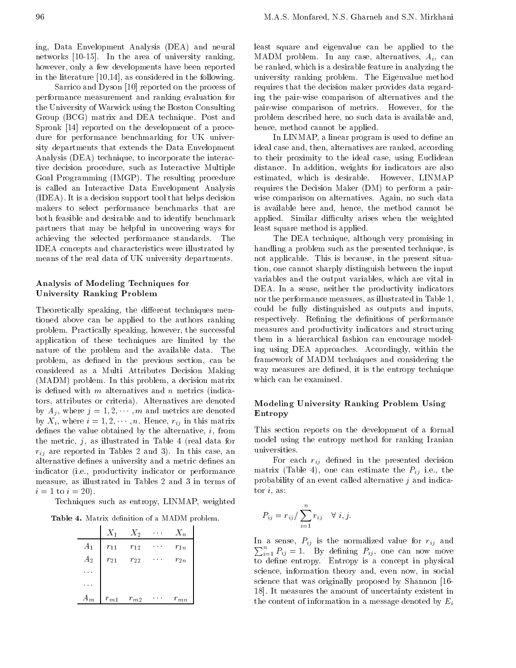ing, Data Envelopment Analysis (DEA) and neural networks [10-15]. In the area of university ranking, however, only a few developments have been reported in the literature [10,14], as considered in the following.

Sarrico and Dyson [10] reported on the process of performance measurement and ranking evaluation for the University of Warwick using the Boston Consulting Group (BCG) matrix and DEA technique. Post and Spronk [14] reported on the development of <sup>a</sup> procedure for performance benchmarking for UK university departments that extends the Data Envelopment Analysis (DEA) technique, to incorporate the interactive decision procedure, such as Interactive Multiple Goal Programming (IMGP). The resulting procedure is called an Interactive Data Envelopment Analysis (IDEA). It is a decision support tool that helps decision makers to select performance benchmarks that are both feasible and desirable and to identify benchmark partners that may be helpful in uncovering ways for achieving the selected performance standards. The IDEA concepts and characteristics were illustrated by means of the real data of UK university departments.

# Analysis of Modeling Techniques for University Ranking Problem

Theoretically speaking, the different techniques mentioned above can be applied to the authors ranking problem. Practically speaking, however, the successful application of these techniques are limited by the nature of the problem and the available data. The problem, as defined in the previous section, can be considered as <sup>a</sup> Multi Attributes Decision Making (MADM) problem. In this problem, a decision matrix is defined with  $m$  alternatives and  $n$  metrics (indicators, attributes or criteria). Alternatives are denoted by  $A_j$ , where  $j = 1, 2, \dots, m$  and metrics are denoted by  $X_i$ , where  $i = 1, 2, \dots, n$ . Hence,  $r_{ij}$  in this matrix defines the value obtained by the alternative,  $i$ , from This sec the metric,  $j$ , as illustrated in Table 4 (real data for  $r_{ij}$  are reported in Tables 2 and 3). In this case, an alternative defines a university and a metric defines an indicator (i.e., productivity indicator or performance measure, as illustrated in Tables <sup>2</sup> and <sup>3</sup> in terms of  $i = 1$  to  $i = 20$ ).

Techniques such as entropy, LINMAP, weighted

Table 4. Matrix denition of a MADM problem.

|                                           | $X_1$        | $X_2$                  | $\sim 100$ $\mu$ | $X_n$    |
|-------------------------------------------|--------------|------------------------|------------------|----------|
| $\begin{aligned} A_1\\ A_2 \end{aligned}$ | $r_{11}$     | $r_{12}$               |                  | $r_{1n}$ |
|                                           | $r_{\rm 21}$ | $r_{\rm 22}$           |                  | $r_{2n}$ |
|                                           |              |                        |                  |          |
|                                           |              |                        |                  |          |
| $A_m$                                     | $r_{m\,1}$   | $r_{m\hspace{0.4pt}2}$ |                  | $r_{mn}$ |

least square and eigenvalue can be applied to the MADM problem. In any case, alternatives,  $A_i$ , can be ranked, which is a desirable feature in analyzing the university ranking problem. The Eigenvalue method requires that the decision maker provides data regarding the pair-wise comparison of alternatives and the pair-wise comparison of metrics. However, for the problem described here, no such data is available and, hence, method cannot be applied.

In LINMAP, a linear program is used to define an ideal case and, then, alternatives are ranked, according to their proximity to the ideal case, using Euclidean distance. In addition, weights for indicators are also estimated, which is desirable. However, LINMAP requires the Decision Maker (DM) to perform a pairwise comparison on alternatives. Again, no such data is available here and, hence, the method cannot be applied. Similar difficulty arises when the weighted least square method is applied.

The DEA technique, although very promising in handling a problem such as the presented technique, is not applicable. This is because, in the present situation, one cannot sharply distinguish between the input variables and the output variables, which are vital in DEA. In <sup>a</sup> sense, neither the productivity indicators nor the performance measures, as illustrated in Table 1, could be fully distinguished as outputs and inputs, respectively. Refining the definitions of performance measures and productivity indicators and structuring them in <sup>a</sup> hierarchical fashion can encourage modeling using DEA approaches. Accordingly, within the framework of MADM techniques and considering the way measures are defined, it is the entropy technique which can be examined.

# Modeling University Ranking Problem Using Entropy

This section reports on the development of <sup>a</sup> formal model using the entropy method for ranking Iranian universities.

For each  $r_{ij}$  defined in the presented decision matrix (Table 4), one can estimate the  $P_{ij}$  i.e., the probability of an event called alternative  $j$  and indicator  $i$ , as:

$$
P_{ij} = r_{ij} / \sum_{i=1}^{n} r_{ij} \quad \forall \ i, j.
$$

and a sense, Pij is the normalized value for rij and t  $\sum_{i=1}^{n} P_{ij} = 1$ . By defining  $P_{ij}$ , one can now move to define entropy. Entropy is a concept in physical science, information theory and, even now, in social science that was originally proposed by Shannon [16- 18]. It measures the amount of uncertainty existent in the content of information in a message denoted by  $E_i$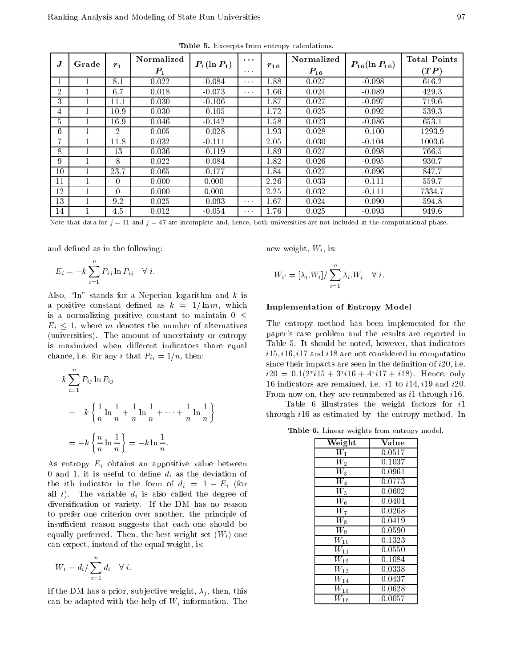| Table 5. Excerpts from entropy calculations. |  |
|----------------------------------------------|--|
|----------------------------------------------|--|

| $\boldsymbol{J}$ | Grade                            | $r_1$          | Normalized<br>$P_{1}$ | $P_1(\ln P_1)$ | $\sim$ $\sim$ $\sim$<br>$\sim$ 100 $\pm$ | $r_{16}$ | Normalized<br>$P_{16}$                                                                                                             | $P_{16}(\ln P_{16})$ | <b>Total Points</b><br>$(\boldsymbol{TP})$ |
|------------------|----------------------------------|----------------|-----------------------|----------------|------------------------------------------|----------|------------------------------------------------------------------------------------------------------------------------------------|----------------------|--------------------------------------------|
| $\perp$          |                                  | 8.1            | 0.022                 | $-0.084$       | $\alpha = \alpha - \alpha$               | 1.88     | 0.027                                                                                                                              | $-0.098$             | 616.2                                      |
| $\overline{2}$   |                                  | 6.7            | 0.018                 | $-0.073$       | $\sim 100$                               | 1.66     | 0.024                                                                                                                              | $-0.089$             | 429.3                                      |
| 3                |                                  | 11.1           | 0.030                 | $-0.106$       |                                          | 1.87     | 0.027                                                                                                                              | $-0.097$             | 719.6                                      |
| $\overline{4}$   |                                  | 10.9           | 0.030                 | $-0.105$       |                                          | 1.72     | 0.025                                                                                                                              | $-0.092$             | 539.3                                      |
| 5                |                                  | 16.9           | 0.046                 | $-0.142$       |                                          | 1.58     | 0.023                                                                                                                              | $-0.086$             | 653.1                                      |
| 6                |                                  | $\overline{2}$ | 0.005                 | $-0.028$       |                                          | 1.93     | 0.028                                                                                                                              | $-0.100$             | 1293.9                                     |
| 7                |                                  | 11.8           | 0.032                 | $-0.111$       |                                          | 2.05     | 0.030                                                                                                                              | $-0.104$             | 1003.6                                     |
| 8                |                                  | 13             | 0.036                 | $-0.119$       |                                          | 1.89     | 0.027                                                                                                                              | $-0.098$             | 766.5                                      |
| 9                | $\mathbf{1}$                     | 8              | 0.022                 | $-0.084$       |                                          | 1.82     | 0.026                                                                                                                              | $-0.095$             | 930.7                                      |
| 10               |                                  | 23.7           | 0.065                 | $-0.177$       |                                          | 1.84     | 0.027                                                                                                                              | $-0.096$             | 847.7                                      |
| 11               | $\mathbf{1}$                     | 0              | 0.000                 | 0.000          |                                          | 2.26     | 0.033                                                                                                                              | $-0.111$             | 559.7                                      |
| 12               |                                  | 0              | 0.000                 | 0.000          |                                          | 2.25     | 0.032                                                                                                                              | $-0.111$             | 7334.7                                     |
| 13               |                                  | 9.2            | 0.025                 | $-0.093$       | $\sim 100$                               | 1.67     | 0.024                                                                                                                              | $-0.090$             | 594.8                                      |
| 14               |                                  | 4.5            | 0.012                 | $-0.054$       | $\sim 100$                               | 1.76     | 0.025                                                                                                                              | $-0.093$             | 949.6                                      |
|                  |                                  |                |                       |                |                                          |          | Note that data for $j = 11$ and $j = 47$ are incomplete and, hence, both universities are not included in the computational phase. |                      |                                            |
|                  | and defined as in the following: |                |                       |                |                                          |          | new weight, $W_i$ , is:                                                                                                            |                      |                                            |

1.76 ce, both universities are not included in the computational phase.<br>
1.76 new weight,  $W_i$ , is: Note that data for  $\eta=$  11 and  $\eta=$  47 are incomplete and, hence, both universities are not included in the computational phase.

$$
E_i = k \sum_{i=1}^n P_{ij} \ln P_{ij} \quad \forall \ i.
$$

Also, " $\ln$ " stands for a Neperian logarithm and k is a positive constant defined as  $k = 1/\ln m$ , which is a normalizing positive constant to maintain  $0 \leq$  $E_i \leq 1$ , where m denotes the number of alternatives  $\frac{1}{\alpha}$  =  $\frac{1}{\alpha}$ , where m denotes the number of alternatives or entropy pap is maximized when different indicators share equal chance, i.e. for any i that  $P_{ij} = 1/n$ , then:

$$
k \sum_{i=1}^{n} P_{ij} \ln P_{ij}
$$
  
=  $k \left\{ \frac{1}{n} \ln \frac{1}{n} + \frac{1}{n} \ln \frac{1}{n} + \dots + \frac{1}{n} \ln \frac{1}{n} \right\}$   
=  $k \left\{ \frac{n}{n} \ln \frac{1}{n} \right\} = k \ln \frac{1}{n}.$ 

As entropy  $E_i$  obtains an appositive value between 0 and 1, it is useful to define  $d_i$  as the deviation of the *i*th indicator in the form of  $d_i = 1$  E<sub>i</sub> (for all i). The variable  $d_i$  is also called the degree of diversication or variety. If the DM has no reason to prefer one criterion over another, the principle of insufficient reason suggests that each one should be equally preferred. Then, the best weight set  $(W_i)$  one can expect, instead of the equal weight, is:

$$
W_i = d_i / \sum_{i=1}^n d_i \quad \forall \ i
$$

If the DM has a prior, subjective weight,  $\lambda_j$ , then, this can be adapted with the help of  $W_j$  information. The

$$
W_{i'} = [\lambda_i.W_i] / \sum_{i=1}^n \lambda_i.W_i \quad \forall \ i.
$$

#### Implementation of Entropy Model

 $\frac{-}{\epsilon}$  The entropy method has been implemented for the paper's case problem and the results are reported in Table 5. It should be noted, however, that indicators  $i15$ ,  $i16$ ,  $i17$  and  $i18$  are not considered in computation since their impacts are seen in the definition of  $i20$ , i.e.  $i20 = 0.1(2, i10 + 3, i10 + 4, i17 + i10)$ . Hence, only 16 indicators are remained, i.e.  $i1$  to  $i14$ ,  $i19$  and  $i20$ . From now on, they are renumbered as i1 through i16.

Table <sup>6</sup> illustrates the weight factors for i1 through i16 as estimated by the entropy method. In

Table 6. Linear weights from entropy model.

| $\overline{\text{Weight}}$ | Value  |  |
|----------------------------|--------|--|
| $W_1$                      | 0.0517 |  |
| $\overline{W}_2$           | 0.1037 |  |
| $\overline{W_3}$           | 0.0961 |  |
| $\overline{W}_4$           | 0.0773 |  |
| $\overline{W}_5$           | 0.0602 |  |
| $\rm\bar{W}_6$             | 0.0404 |  |
| $W_7$                      | 0.0268 |  |
| $\rm\bar{W}_8$             | 0.0419 |  |
| $\overline{W}_9$           | 0.0590 |  |
| $\overline{W}_{10}$        | 0.1323 |  |
| $\scriptstyle W_{11}$      | 0.0550 |  |
| $\scriptstyle W_{12}$      | 0.1084 |  |
| $\overline{W}_{13}$        | 0.0338 |  |
| $\overline{W_{14}}$        | 0.0437 |  |
| $\bar{W}_{15}$             | 0.0628 |  |
| $W_{16}$                   | 0.0057 |  |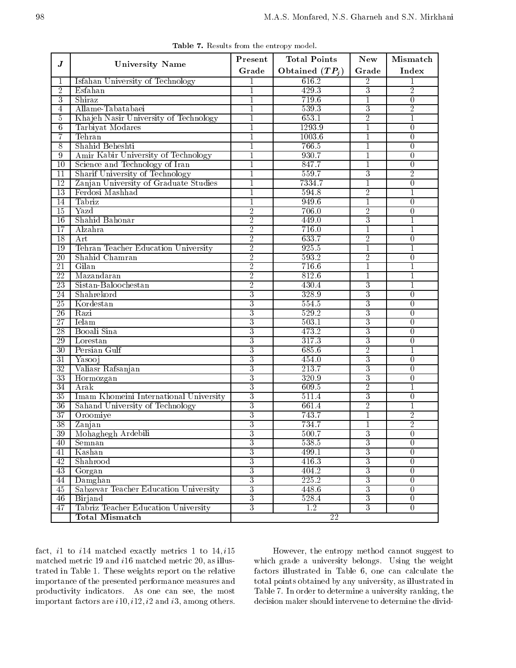|                 |                                        | Present        | <b>Total Points</b> | <b>New</b>     | Mismatch         |
|-----------------|----------------------------------------|----------------|---------------------|----------------|------------------|
| $\bm{J}$        | <b>University Name</b>                 | Grade          | Obtained $(TP_i)$   | Grade          | Index            |
| 1               | Isfahan University of Technology       | -1             | 616.2               | $\overline{2}$ | 1                |
| $\overline{2}$  | Esfahan                                |                | 429.3               | 3              | $\overline{2}$   |
| $\overline{3}$  | Shiraz                                 | $\mathbf{1}$   | 719.6               | $\overline{1}$ | $\overline{0}$   |
| 4               | Allame-Tabatabaei                      | 1              | 539.3               | 3              | $\overline{2}$   |
| 5               | Khajeh Nasir University of Technology  | $\mathbf{1}$   | 653.1               | $\overline{2}$ | 1                |
| $6\overline{6}$ | Tarbiyat Modares                       | $\mathbf{1}$   | 1293.9              | 1              | $\overline{0}$   |
| 7               | Tehran                                 | 1              | 1003.6              | 1              | 0                |
| 8               | Shahid Beheshti                        |                | 766.5               | 1              | 0                |
| $\overline{9}$  | Amir Kabir University of Technology    | $\mathbf{1}$   | 930.7               | $\mathbf{1}$   | $\overline{0}$   |
| 10              | Science and Technology of Iran         | 1              | 847.7               | 1              | $\overline{0}$   |
| 11              | Sharif University of Technology        |                | 559.7               | 3              | $\overline{2}$   |
| 12              | Zanjan University of Graduate Studies  | $\mathbf{1}$   | 7334.7              | $\mathbf{1}$   | $\overline{0}$   |
| 13              | Ferdosi Mashhad                        | 1              | 594.8               | $\overline{2}$ | 1                |
| 14              | Tabriz                                 |                | 949.6               | 1              | 0                |
| 15              | Yazd                                   | $\overline{2}$ | 706.0               | $\overline{2}$ | $\overline{0}$   |
| 16              | Shahid Bahonar                         | $\overline{2}$ | 449.0               | 3              | $\mathbf{1}$     |
| 17              | Alzahra                                | $\overline{2}$ | 716.0               | 1              | 1                |
| 18              | Art                                    | $\overline{2}$ | 633.7               | $\overline{2}$ | $\theta$         |
| 19              | Tehran Teacher Education University    | $\overline{2}$ | 925.5               | 1              | 1                |
| $\overline{20}$ | Shahid Chamran                         | $\overline{2}$ | 593.2               | $\overline{2}$ | 0                |
| 21              | Gilan                                  | $\overline{2}$ | 716.6               | $\mathbf{1}$   |                  |
| $\overline{22}$ | Mazandaran                             | $\overline{2}$ | 812.6               | $\mathbf{1}$   | 1                |
| 23              | Sistan-Baloochestan                    | $\overline{2}$ | 430.4               | 3              | 1                |
| 24              | Shahrekord                             | $\overline{3}$ | 328.9               | 3              | $\theta$         |
| 25              | Kordestan                              | 3              | 554.5               | 3              | $\Omega$         |
| 26              | Razi                                   | 3              | 529.2               | 3              | 0                |
| 27              | Ielam                                  | $\overline{3}$ | 503.1               | $\overline{3}$ | $\overline{0}$   |
| 28              | Booali Sina                            | 3              | 473.2               | 3              | $\overline{0}$   |
| 29              | Lorestan                               | 3              | 317.3               | 3              | 0                |
| 30              | Persian Gulf                           | 3              | 685.6               | $\overline{2}$ | 1                |
| 31              | Yasooj                                 | 3              | 454.0               | 3              | 0                |
| 32              | Valiasr Rafsanjan                      | 3              | 213.7               | 3              | 0                |
| 33              | Hormozgan                              | $\overline{3}$ | 320.9               | $\overline{3}$ | $\boldsymbol{0}$ |
| 34              | Arak                                   | $\overline{3}$ | 609.5               | $\overline{2}$ | 1                |
| 35              | Imam Khomeini International University | $\overline{3}$ | 511.4               | 3              | $\theta$         |
| 36              | Sahand University of Technology        | $\overline{3}$ | 661.4               | $\overline{2}$ | 1                |
| $\overline{37}$ | Oroomiye                               | 3              | 743.7               | 1              | $\overline{2}$   |
| 38              | Zanjan                                 | $\overline{3}$ | 734.7               | 1              | $\overline{2}$   |
| 39              | Mohaghegh Ardebili                     | 3              | 500.7               | $\overline{3}$ | 0                |
| 40              | Semnan                                 | 3              | 538.5               | 3              | $\overline{0}$   |
| 41              | Kashan                                 | 3              | 499.1               | $\overline{3}$ | $\overline{0}$   |
| 42              | Shahrood                               | $\overline{3}$ | 416.3               | $\overline{3}$ | $\overline{0}$   |
| 43              | Gorgan                                 | $\overline{3}$ | 404.2               | $\overline{3}$ | $\overline{0}$   |
| 44              | Damghan                                | $\overline{3}$ | 225.2               | 3              | $\overline{0}$   |
| 45              | Sabzevar Teacher Education University  | $\overline{3}$ | 448.6               | $\overline{3}$ | $\overline{0}$   |
| 46              | Birjand                                | 3              | 528.4               | $\overline{3}$ | $\overline{0}$   |
| 47              | Tabriz Teacher Education University    | $\overline{3}$ | 1.2                 | 3              | $\overline{0}$   |
|                 |                                        |                |                     |                |                  |

Table 7. Results from the entropy model.

fact,  $i1$  to  $i14$  matched exactly metrics 1 to  $14$ ,  $i15$ matched metric 19 and i16 matched metric 20, as illustrated in Table 1. These weights report on the relative importance of the presented performance measures and productivity indicators. As one can see, the most important factors are  $i10$ ,  $i12$ ,  $i2$  and  $i3$ , among others.

However, the entropy method cannot suggest to which grade <sup>a</sup> university belongs. Using the weight factors illustrated in Table 6, one can calculate the total points obtained by any university, as illustrated in Table 7. In order to determine a university ranking, the decision maker should intervene to determine the divid-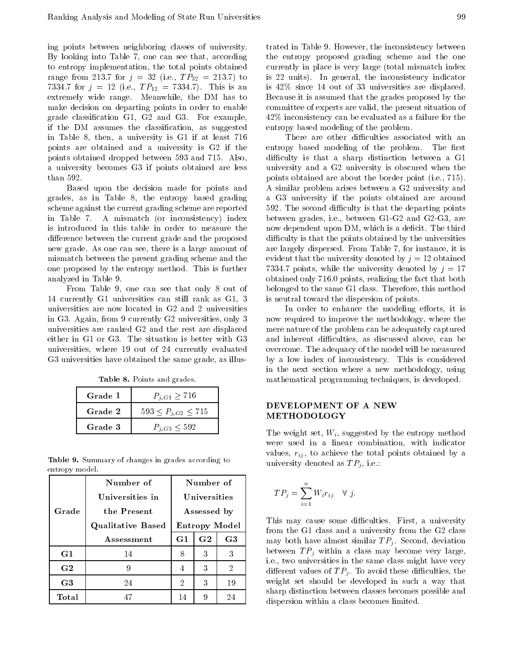ing points between neighboring classes of university. By looking into Table 7, one can see that, according to entropy implementation, the total points obtained range from 213.7 for  $j = 32$  (i.e.,  $TP_{32} = 213.7$ ) to 7334.7 for  $j = 12$  (i.e.,  $TP_{12} = 7334.7$ ). This is an extremely wide range. Meanwhile, the DM has to make decision on departing points in order to enable grade classication G1,G2 and G3. For example, if the DM assumes the classication, as suggested in Table 8, then, a university is G1 if at least 716 points are obtained and <sup>a</sup> university is G2 if the points obtained dropped between <sup>593</sup> and 715. Also, <sup>a</sup> university becomes G3 if points obtained are less than 592.

Based upon the decision made for points and grades, as in Table 8, the entropy based grading scheme against the current grading scheme are reported in Table 7. <sup>A</sup> mismatch (or inconsistency) index is introduced in this table in order to measure the difference between the current grade and the proposed new grade. As one can see, there is a large amount of mismatch between the present grading scheme and the one proposed by the entropy method. This is further analyzed in Table 9.

From Table 9, one can see that only <sup>8</sup> out of <sup>14</sup> currently G1 universities can still rank as G1, <sup>3</sup> universities are now located in G2 and <sup>2</sup> universities in G3. Again, from 9 currently G2 universities, only 3 universities are ranked G2 and the rest are displaced either in G1 or G3. The situation is better with G3 universities, where <sup>19</sup> out of <sup>24</sup> currently evaluated G3 universities have obtained the same grade, as illus-

|  |  |  |  | Table 8. Points and grades. |  |
|--|--|--|--|-----------------------------|--|
|--|--|--|--|-----------------------------|--|

| Grade 1 | $P_{j,G1} \geq 716$          |
|---------|------------------------------|
| Grade 2 | $593 \leq P_{i,G2} \leq 715$ |
| Grade 3 | $P_{i,G3} \leq 592$          |

Table 9. Summary of changes in grades according to entropy model.

|                | Number of                |                | Number of      |                |  |  |
|----------------|--------------------------|----------------|----------------|----------------|--|--|
|                | Universities in          |                | Universities   |                |  |  |
| Grade          | the Present              |                | Assessed by    |                |  |  |
|                | <b>Qualitative Based</b> |                |                | Entropy Model  |  |  |
|                | Assessment               | G1             | G <sub>2</sub> | G <sub>3</sub> |  |  |
| G1             | 14                       | 8              | 3              | 3              |  |  |
| G <sub>2</sub> | 9                        | 4              | 3              | $\overline{2}$ |  |  |
| G <sub>3</sub> | 24                       | $\overline{2}$ | 3              | 19             |  |  |
| Total          | 47                       | 14             | 9              | 24             |  |  |

trated in Table 9. However, the inconsistency between the entropy proposed grading scheme and the one currently in place is very large (total mismatch index is <sup>22</sup> units). In general, the inconsistency indicator is 42% since <sup>14</sup> out of <sup>33</sup> universities are displaced. Because it is assumed that the grades proposed by the committee of experts are valid, the present situation of 42% inconsistency can be evaluated as a failure for the entropy based modeling of the problem.

There are other difficulties associated with an entropy based modeling of the problem. The first difficulty is that a sharp distinction between a G1 university and <sup>a</sup> G2 university is obscured when the points obtained are about the border point (i.e., 715). <sup>A</sup> similar problem arises between a G2 university and <sup>a</sup> G3 university if the points obtained are around 592. The second difficulty is that the departing points between grades, i.e., between G1-G2 and G2-G3, are now dependent upon DM, which is a deficit. The third difficulty is that the points obtained by the universities are largely dispersed. From Table 7, for instance, it is evident that the university denoted by  $j = 12$  obtained 7334.7 points, while the university denoted by  $j = 17$ obtained only 716.0 points, realizing the fact that both belonged to the same G1 class. Therefore, this method is neutral toward the dispersion of points.

In order to enhance the modeling efforts, it is now required to improve the methodology, where the mere nature of the problem can be adequately captured and inherent difficulties, as discussed above, can be overcome. The adequacy of the model will be measured by <sup>a</sup> low index of inconsistency. This is considered in the next section where <sup>a</sup> new methodology, using mathematical programming techniques, is developed.

# DEVELOPMENT OF A NEW METHODOLOGY

The weight set,  $W_i$ , suggested by the entropy method were used in <sup>a</sup> linear combination, with indicator values,  $r_{ij}$ , to achieve the total points obtained by a university denoted as  $TP_j$ , i.e.:

$$
TP_j = \sum_{i=1}^n W_i r_{ij} \quad \forall \ j.
$$

This may cause some difficulties. First, a university from the G1 class and a university from the G2 class may both have almost similar  $TP_j$ . Second, deviation between  $TP_i$  within a class may become very large, i.e., two universities in the same class might have very different values of  $TP_i$ . To avoid these difficulties, the weight set should be developed in such <sup>a</sup> way that sharp distinction between classes becomes possible and dispersion within a class becomes limited.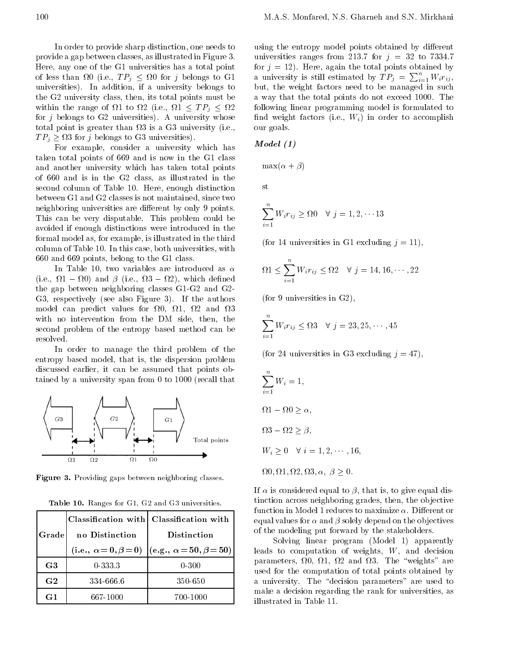In order to provide sharp distinction, one needs to provide a gap between classes, as illustrated in Figure 3. Here, any one of the G1 universities has a total point  $\sqrt{1-\frac{1}{2}}$  and  $\sqrt{1-\frac{1}{2}}$  for  $\sqrt{1-\frac{1}{2}}$ universities). In addition, if a university belongs to but the G2 university class, then, its total points must be within the range of <sup>1</sup> to <sup>2</sup> (i.e., <sup>1</sup>  $T_1$  is the complete  $T_2$  of  $T_3$  and  $T_4$  is  $T_5$  and  $T_7$  is  $T_7$  and  $T_8$  and  $T_7$  is  $T_8$  and  $T_8$  and  $T_9$  and  $T_9$  and  $T_9$  and  $T_9$  and  $T_9$  and  $T_9$  and  $T_9$  and  $T_9$  and  $T_9$  and  $T_9$  and  $T_$ total point is greater than 3 is a G3 university (i.e., <sup>T</sup> Pj 3 for j belongs to G3 universities).

For example, consider a university which has  $M$ taken total points of 669 and is now in the G1 class and another university which has taken total points of <sup>660</sup> and isin the G2 class, as illustrated in the second column of Table 10. Here, enough distinction between G1 and G2 classes is not maintained, since two neighboring universities are different by only 9 points. This can be very disputable. This problem could be avoided if enough distinctions were introduced in the formal model as, for example, is illustrated in the third column of Table 10. In this case, both universities, with <sup>660</sup> and 669 points, belong to the G1 class.

In Table 10, two variables are introduced as  $\alpha$ (i.e.,  $\Omega1$ <sup>1</sup> 0) and  (i.e., <sup>3</sup> 2), which dened the gap between neighboring classes G1-G2 and G2- G3, respectively (see also Figure 3). If the authors model can predict values for 0, 1, <sup>2</sup> and <sup>3</sup> with no intervention from the DM side, then, the second problem of the entropy based method can be resolved.

In order to manage the third problem of the entropy based model, that is, the dispersion problem discussed earlier, it can be assumed that points obtained by a university span from 0 to 1000 (recall that



Figure 3. Providing gaps between neighboring classes.

| Table 10. Ranges for G1, G2 and G3 universities. |
|--------------------------------------------------|
|--------------------------------------------------|

| Grade          | no Distinction | Classification with Classification with<br><b>Distinction</b>          |  |
|----------------|----------------|------------------------------------------------------------------------|--|
|                |                | (i.e., $\alpha = 0, \beta = 0$ ) $  (e.g., \alpha = 50, \beta = 50)  $ |  |
| G <sub>3</sub> | $0-333.3$      | $0 - 300$                                                              |  |
| G <sub>2</sub> | 334 666 6      | 350-650                                                                |  |
| G1             | 667-1000       | 700-1000                                                               |  |

<sup>2</sup> following linear programming model is formulated to using the entropy model points obtained by different universities ranges from 213.7 for  $j = 32$  to 7334.7 for  $j = 12$ ). Here, again the total points obtained by a university is still estimated by  $TP_j = \sum_{i=1}^n W_i r_{ij}$ , but, the weight factors need to be managed in such <sup>a</sup> way that the total points do not exceed 1000. The find weight factors (i.e.,  $W_i$ ) in order to accomplish our goals.

$$
Model\,\,(1)
$$

 $\max(\alpha + \beta)$ 

st

$$
\sum_{i=1}^{n} W_i r_{ij} \ge \Omega 0 \quad \forall \ j = 1, 2, \cdots 13
$$

(for 14 universities in G1 excluding  $j = 11$ ),

$$
\Omega 1 \leq \sum_{i=1}^{n} W_i r_{ij} \leq \Omega 2 \quad \forall \ j = 14, 16, \cdots, 22
$$

(for 9 universities in G2);

$$
\sum_{i=1}^{n} W_i r_{ij} \leq \Omega 3 \quad \forall \ j = 23, 25, \cdots, 45
$$

(for 24 universities in G3 excluding  $j = 47$ ),

$$
\sum_{i=1}^{n} W_i = 1,
$$
  
\n
$$
\Omega 1 \quad \Omega 0 \ge \alpha,
$$
  
\n
$$
\Omega 3 \quad \Omega 2 \ge \beta,
$$
  
\n
$$
W_i \ge 0 \quad \forall \ i = 1, 2, \dots, 16,
$$
  
\n
$$
\Omega 0, \Omega 1, \Omega 2, \Omega 3, \alpha, \beta \ge 0.
$$

If  $\alpha$  is considered equal to  $\beta$ , that is, to give equal distinction across neighboring grades, then, the objective function in Model 1 reduces to maximize  $\alpha$ . Different or equal values for  $\alpha$  and  $\beta$  solely depend on the objectives of the modeling put forward by the stakeholders.

Solving linear program (Model 1) apparently leads to computation of weights, W, and decision parameters, and the state of the state of the state of the state of the state of the state of the state of the used for the computation of total points obtained by a university. The "decision parameters" are used to make a decision regarding the rank for universities, as illustrated in Table 11.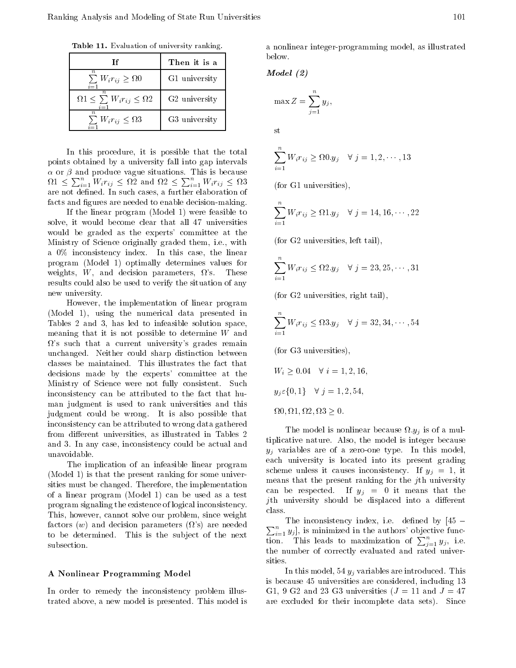Table 11. Evaluation of university ranking.

| Тf                                                                    | Then it is a  |  |
|-----------------------------------------------------------------------|---------------|--|
| $\boldsymbol{n}$<br>$\sum W_i r_{ij} \geq \Omega 0$<br>$i=1$          | G1 university |  |
| $\, n \,$<br>$\Omega$ 1 $\leq \sum W_i r_{ij} \leq \Omega$ 2<br>$i=1$ | G2 university |  |
| $\it n$<br>$\sum W_i r_{ij} \leq \Omega 3$                            | G3 university |  |

In this procedure, it is possible that the total points obtained by a university fall into gap intervals  $\alpha$  or  $\beta$  and produce vague situations. This is because  $\Omega$ 1  $\leq \sum_{i=1}^{n} W_i r_{ij} \leq \Omega$ 2 and  $\Omega$ 2  $\leq \sum_{i=1}^{n} W_i r_{ij} \leq \Omega$ are not defined. In such cases, a further elaboration of  $(10^{-10} - 2i)$ facts and figures are needed to enable decision-making.

If the linear program (Model 1) were feasible to solve, it would become clear that all <sup>47</sup> universities would be graded as the experts' committee at the Ministry of Science originally graded them, i.e., with <sup>a</sup> 0% inconsistency index. In this case, the linear program (Model 1) optimally determines values for weights,  $W$ , and decision parameters,  $\Omega$ 's. These results could also be used to verify the situation of any new university.

However, the implementation of linear program (Model 1), using the numerical data presented in Tables <sup>2</sup> and 3, has led to infeasible solution space, meaning that it is not possible to determine W and  $\Omega$ 's such that a current university's grades remain unchanged. Neither could sharp distinction between classes be maintained. This illustrates the fact that decisions made by the experts' committee at the Ministry of Science were not fully consistent. Such inconsistency can be attributed to the fact that human judgment is used to rank universities and this judgment could be wrong. It is also possible that inconsistency can be attributed to wrong data gathered from different universities, as illustrated in Tables 2 and 3. In any case, inconsistency could be actual and unavoidable.

The implication of an infeasible linear program (Model 1) is that the present ranking for some universities must be changed. Therefore, the implementation of <sup>a</sup> linear program (Model 1) can be used as <sup>a</sup> test program signaling the existence of logical inconsistency. This, however, cannot solve our problem, since weight factors (w) and decision parameters ( $\Omega$ 's) are needed  $\Box$ to be determined. This is the sub ject of the next subsection.

#### <sup>A</sup> Nonlinear Programming Model

In order to remedy the inconsistency problem illustrated above, a new model is presented. This model is

<sup>a</sup> nonlinear integer-programming model, as illustrated below.

$$
Model\,\left(2\right)
$$

$$
\max Z = \sum_{j=1}^n y_j,
$$

$$
\sum_{i=1}^{n} W_i r_{ij} \ge \Omega 0.y_j \quad \forall \ j = 1, 2, \cdots, 13
$$

<sup>3</sup> (for G1 universities);

$$
\sum_{i=1}^{n} W_i r_{ij} \ge \Omega 1.y_j \quad \forall \ j = 14, 16, \cdots, 22
$$

(for G2 universities, left tail);

$$
\sum_{i=1}^{n} W_i r_{ij} \le \Omega 2.y_j \quad \forall \ j = 23, 25, \cdots, 31
$$

(for G2 universities, right tail);

$$
\sum_{i=1}^{n} W_i r_{ij} \leq \Omega 3.y_j \quad \forall \ j = 32, 34, \cdots, 54
$$

(for G3 universities);

$$
W_i \ge 0.04 \quad \forall \ i = 1, 2, 16,
$$
  

$$
y_j \in \{0, 1\} \quad \forall \ j = 1, 2, 54,
$$

 0; 1; 2; <sup>3</sup> 0:

 $\sim$  model is non-model is considered and  $\mu$  is of a multiple tiplicative nature. Also, the model is integer because  $y_i$  variables are of a zero-one type. In this model, each university is located into its present grading scheme unless it causes inconsistency. If  $y_i = 1$ , it means that the present ranking for the  $j$ <sup>th</sup> university can be respected. If  $y_j = 0$  it means that the jth university should be displaced into a different class.

 $\sum_{i=1}^{n} y_i$ , is minimized in the authors' objective func-The inconsistency index, i.e. defined by [45] tion. This leads to maximization of  $\sum_{i=1}^{n} y_i$ , i.e. the number of correctly evaluated and rated universities.

In this model, 54  $y_j$  variables are introduced. This is because 45 universities are considered, including 13 G1, 9 G2 and 23 G3 universities  $(J = 11$  and  $J = 47$ are excluded for their incomplete data sets). Since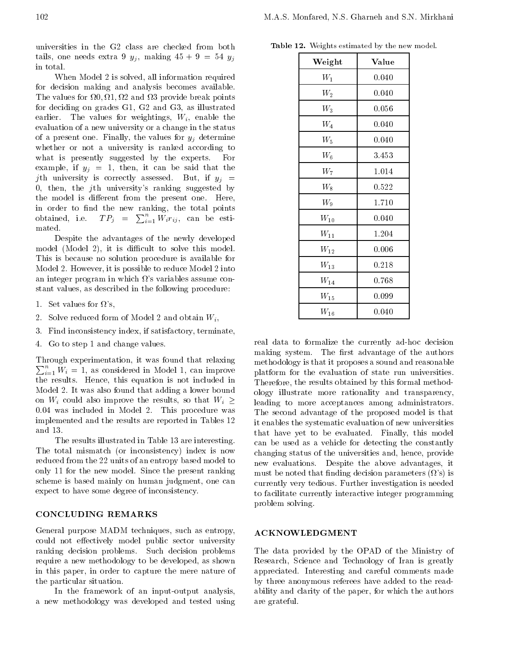universities in the G2 class are checked from both tails, one needs extra 9  $y_j$ , making  $45 + 9 = 54$   $y_j$ in total.

When Model 2 is solved, all information required for decision making and analysis becomes available. The values for 0; 1; 2 and 3 provide break points for deciding on grades  $G1$ ,  $G2$  and  $G3$ , as illustrated earlier. The values for weightings,  $W_i$ , enable the evaluation of a new university or a change in the status of a present one. Finally, the values for  $y_i$  determine whether or not <sup>a</sup> university is ranked according to what is presently suggested by the experts. For example, if  $y_j = 1$ , then, it can be said that the jth university is correctly assessed. But, if  $y_j =$ 0, then, the  $j$ th university's ranking suggested by the model is different from the present one. Here, in order to find the new ranking, the total points obtained, i.e.  $TP_j = \sum_{i=1}^n W_i r_{ij}$ , can be estimated.

Despite the advantages of the newly developed model (Model 2), it is difficult to solve this model. This is because no solution procedure is available for Model 2. However, it is possible to reduce Model 2 into an integer program in which  $\Omega$ 's variables assume constant values, as described in the following procedure:

1. Set values for  $\Omega$ 's,

- 2. Solve reduced form of Model 2 and obtain  $W_i$ ,
- 3. Find inconsistency index, if satisfactory, terminate,
- Go to step 1 and change values. 4.

 $\sum_{i=1}^{n} W_i = 1$ , as considered in Model 1, can improve  $\qquad$  <sub>pla</sub> Through experimentation, it was found that relaxing the results. Hence, this equation is not included in Model 2. It was also found that adding a lower bound on  $W_i$  could also improve the results, so that  $W_i$ 0:04 was included in Model 2. This procedure was implemented and the results are reported in Tables 12 and 13.

The results illustrated in Table 13 are interesting. The total mismatch (or inconsistency) index is now reduced from the 22 units of an entropy based model to only 11 for the new model. Since the present ranking scheme is based mainly on human judgment, one can expect to have some degree of inconsistency.

# CONCLUDING REMARKS

General purpose MADM techniques, such as entropy, could not effectively model public sector university ranking decision problems. Such decision problems require a new methodology to be developed, as shown in this paper, in order to capture the mere nature of the particular situation.

In the framework of an input-output analysis, <sup>a</sup> new methodology was developed and tested using

| Table 12. Weights estimated by the new model. |  |  |  |
|-----------------------------------------------|--|--|--|
|                                               |  |  |  |

| Weight             | Value |  |
|--------------------|-------|--|
| $W_1$              | 0.040 |  |
| $\scriptstyle W_2$ | 0.040 |  |
| $W_3$              | 0.056 |  |
| $W_4$              | 0.040 |  |
| $\scriptstyle W_5$ | 0.040 |  |
| $\scriptstyle W_6$ | 3.453 |  |
| $W_7$              | 1.014 |  |
| $W_8$              | 0.522 |  |
| $W_9$              | 1.710 |  |
| $W_{10}$           | 0.040 |  |
| $W_{11}$           | 1.204 |  |
| $\mathcal{W}_{12}$ | 0.006 |  |
| $W_{13}$           | 0.218 |  |
| $\mathcal{W}_{14}$ | 0.768 |  |
| $\mathcal{W}_{15}$ | 0.099 |  |
| $W_{16}$           | 0.040 |  |

 $-$  leading to more acceptances among administrators. real data to formalize the currently ad-hoc decision making system. The first advantage of the authors methodology is that it proposes a sound and reasonable platform for the evaluation of state run universities. Therefore, the results obtained by this formal methodology illustrate more rationality and transparency, The second advantage of the proposed model is that it enables the systematic evaluation of new universities that have yet to be evaluated. Finally, this model can be used as <sup>a</sup> vehicle for detecting the constantly changing status of the universities and, hence, provide new evaluations. Despite the above advantages, it must be noted that finding decision parameters  $(\Omega)$ s) is currently very tedious. Further investigation is needed to facilitate currently interactive integer programming problem solving.

# ACKNOWLEDGMENT

The data provided by the OPAD of the Ministry of Research, Science and Technology of Iran is greatly appreciated. Interesting and careful comments made by three anonymous referees have added to the readability and clarity of the paper, for which the authors are grateful.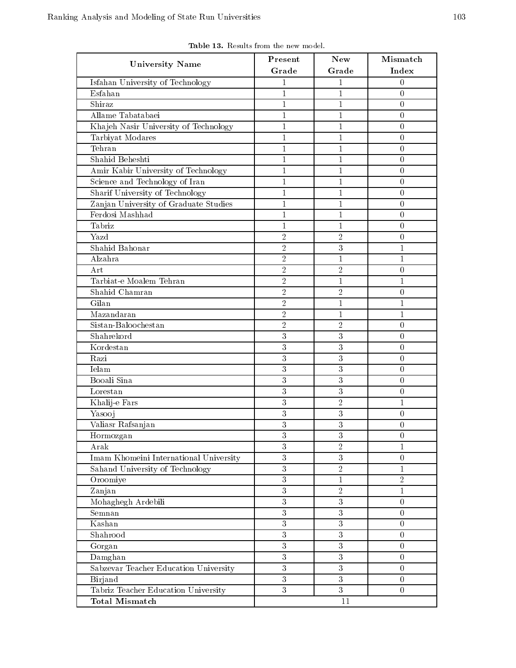| <b>University Name</b>                 | Present        | <b>New</b>       | Mismatch         |
|----------------------------------------|----------------|------------------|------------------|
|                                        | Grade          | Grade            | Index            |
| Isfahan University of Technology       | $\mathbf{1}$   | $\mathbf{1}$     | $\overline{0}$   |
| Esfahan                                | $\mathbf{1}$   | $\mathbf{1}$     | $\boldsymbol{0}$ |
| Shiraz                                 | $\mathbf{1}$   | $\mathbf{1}$     | $\boldsymbol{0}$ |
| Allame Tabatabaei                      | $\mathbf{1}$   | $\mathbf{1}$     | $\overline{0}$   |
| Khajeh Nasir University of Technology  | $\mathbf{1}$   | $\mathbf{1}$     | $\overline{0}$   |
| Tarbiyat Modares                       | $\mathbf{1}$   | $\mathbf{1}$     | $\boldsymbol{0}$ |
| Tehran                                 | $\mathbf{1}$   | $\mathbf{1}$     | $\overline{0}$   |
| Shahid Beheshti                        | $\mathbf{1}$   | $\mathbf{1}$     | $\Omega$         |
| Amir Kabir University of Technology    | $\mathbf{1}$   | $\mathbf{1}$     | $\overline{0}$   |
| Science and Technology of Iran         | $\mathbf{1}$   | $\mathbf{1}$     | $\Omega$         |
| Sharif University of Technology        | $\mathbf{1}$   | $\mathbf{1}$     | $\overline{0}$   |
| Zanjan University of Graduate Studies  | $\mathbf{1}$   | $\mathbf{1}$     | $\overline{0}$   |
| Ferdosi Mashhad                        | $\,1$          | $\mathbf{1}$     | $\boldsymbol{0}$ |
| Tabriz                                 | $\mathbf{1}$   | $\mathbf{1}$     | $\boldsymbol{0}$ |
| Yazd                                   | $\overline{2}$ | $\overline{2}$   | $\overline{0}$   |
| Shahid Bahonar                         | $\sqrt{2}$     | 3                | $\mathbf{1}$     |
| Alzahra                                | $\sqrt{2}$     | $\mathbf{1}$     | 1                |
| Art                                    | $\overline{2}$ | $\overline{2}$   | $\overline{0}$   |
| Tarbiat-e Moalem Tehran                | $\overline{2}$ | $\mathbf{1}$     | 1                |
| Shahid Chamran                         | $\overline{2}$ | $\sqrt{2}$       | $\boldsymbol{0}$ |
| Gilan                                  | $\sqrt{2}$     | $\mathbf{1}$     | 1                |
| Mazandaran                             | $\sqrt{2}$     | $\mathbf{1}$     | $\mathbf{1}$     |
| Sistan-Baloochestan                    | $\sqrt{2}$     | $\sqrt{2}$       | $\overline{0}$   |
| Shahrekord                             | $\sqrt{3}$     | 3                | $\boldsymbol{0}$ |
| Kordestan                              | $\overline{3}$ | $\overline{3}$   | $\boldsymbol{0}$ |
| Razi                                   | 3              | 3                | $\overline{0}$   |
| Ielam                                  | 3              | 3                | $\Omega$         |
| Booali Sina                            | 3              | 3                | $\boldsymbol{0}$ |
| Lorestan                               | 3              | 3                | $\boldsymbol{0}$ |
| Khalij-e Fars                          | 3              | $\sqrt{2}$       | 1                |
| Yasooj                                 | $\overline{3}$ | 3                | $\boldsymbol{0}$ |
| Valiasr Rafsanjan                      | 3              | 3                | $\overline{0}$   |
| Hormozgan                              | $\sqrt{3}$     | $\sqrt{3}$       | $\boldsymbol{0}$ |
| Arak                                   | $\overline{3}$ | $\overline{2}$   | 1                |
| Imam Khomeini International University | $\overline{3}$ | $\overline{3}$   | $\overline{0}$   |
| Sahand University of Technology        | $\overline{3}$ | $\overline{2}$   | 1                |
| Oroomiye                               | $\overline{3}$ | $\mathbf{1}$     | $\overline{2}$   |
| Zanjan                                 | 3              | $\overline{2}$   | $\mathbf{1}$     |
| Mohaghegh Ardebili                     | $\sqrt{3}$     | 3                | $\overline{0}$   |
| Semnan                                 | $\overline{3}$ | 3                | $\overline{0}$   |
| Kashan                                 | $\overline{3}$ | 3                | $\overline{0}$   |
| Shahrood                               | $\overline{3}$ | $\overline{3}$   | $\overline{0}$   |
| Gorgan                                 | 3              | 3                | $\boldsymbol{0}$ |
| Damghan                                | 3              | 3                | $\overline{0}$   |
| Sabzevar Teacher Education University  | $\overline{3}$ | $\overline{3}$   | $\overline{0}$   |
| Birjand                                | $\overline{3}$ | $\boldsymbol{3}$ | $\overline{0}$   |
| Tabriz Teacher Education University    |                |                  |                  |
|                                        | $\overline{3}$ | $\overline{3}$   | $\Omega$         |

Table 13. Results from the new model.